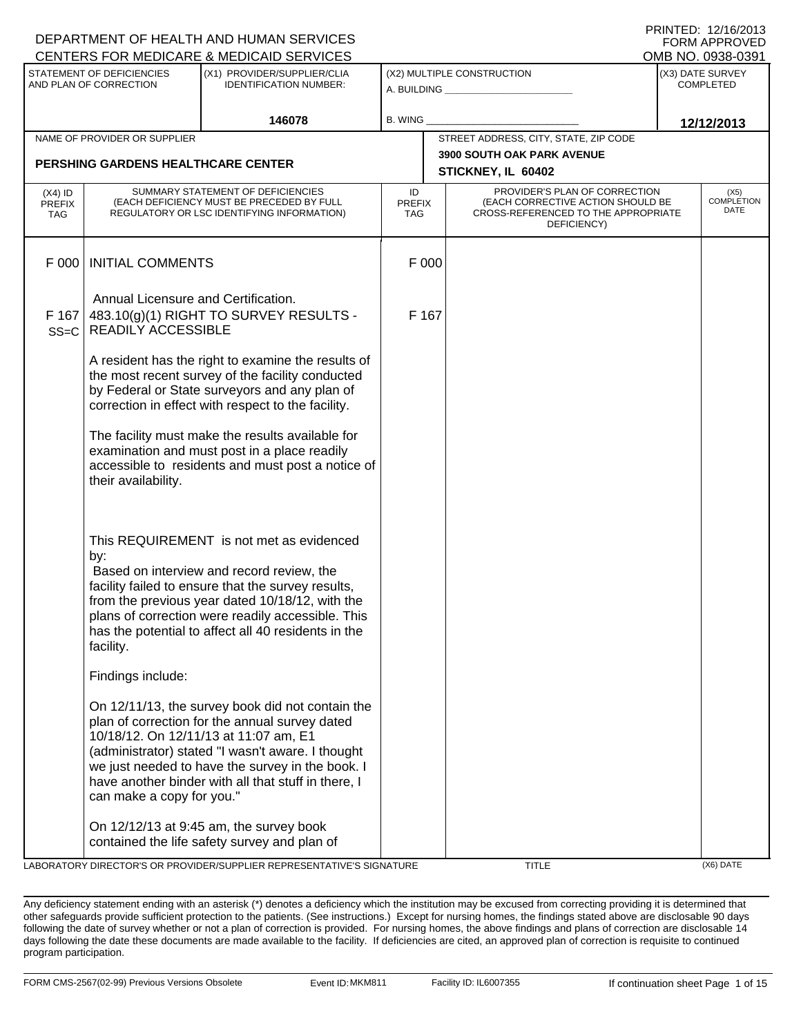|                                   |                                                                  | DEPARTMENT OF HEALTH AND HUMAN SERVICES                                                                                                                                                                                                                                                                     |                                   |                                                                                                                          | I ININILLY. IZ/IU/ZUIJ<br><b>FORM APPROVED</b> |
|-----------------------------------|------------------------------------------------------------------|-------------------------------------------------------------------------------------------------------------------------------------------------------------------------------------------------------------------------------------------------------------------------------------------------------------|-----------------------------------|--------------------------------------------------------------------------------------------------------------------------|------------------------------------------------|
|                                   |                                                                  | CENTERS FOR MEDICARE & MEDICAID SERVICES                                                                                                                                                                                                                                                                    |                                   |                                                                                                                          | OMB NO. 0938-0391                              |
|                                   | STATEMENT OF DEFICIENCIES<br>AND PLAN OF CORRECTION              | (X1) PROVIDER/SUPPLIER/CLIA<br><b>IDENTIFICATION NUMBER:</b>                                                                                                                                                                                                                                                |                                   | (X2) MULTIPLE CONSTRUCTION<br>A. BUILDING <u>____________________</u>                                                    | (X3) DATE SURVEY<br><b>COMPLETED</b>           |
|                                   |                                                                  | 146078                                                                                                                                                                                                                                                                                                      | B. WING                           |                                                                                                                          | 12/12/2013                                     |
|                                   | NAME OF PROVIDER OR SUPPLIER                                     |                                                                                                                                                                                                                                                                                                             |                                   | STREET ADDRESS, CITY, STATE, ZIP CODE                                                                                    |                                                |
|                                   | <b>PERSHING GARDENS HEALTHCARE CENTER</b>                        |                                                                                                                                                                                                                                                                                                             |                                   | <b>3900 SOUTH OAK PARK AVENUE</b><br>STICKNEY, IL 60402                                                                  |                                                |
| $(X4)$ ID<br><b>PREFIX</b><br>TAG |                                                                  | SUMMARY STATEMENT OF DEFICIENCIES<br>(EACH DEFICIENCY MUST BE PRECEDED BY FULL<br>REGULATORY OR LSC IDENTIFYING INFORMATION)                                                                                                                                                                                | ID<br><b>PREFIX</b><br><b>TAG</b> | PROVIDER'S PLAN OF CORRECTION<br>(EACH CORRECTIVE ACTION SHOULD BE<br>CROSS-REFERENCED TO THE APPROPRIATE<br>DEFICIENCY) | (X5)<br><b>COMPLETION</b><br>DATE              |
| F 000                             | <b>INITIAL COMMENTS</b>                                          |                                                                                                                                                                                                                                                                                                             | F 000                             |                                                                                                                          |                                                |
| F 167<br>$SS=C$                   | Annual Licensure and Certification.<br><b>READILY ACCESSIBLE</b> | 483.10(g)(1) RIGHT TO SURVEY RESULTS -                                                                                                                                                                                                                                                                      | F 167                             |                                                                                                                          |                                                |
|                                   |                                                                  | A resident has the right to examine the results of<br>the most recent survey of the facility conducted<br>by Federal or State surveyors and any plan of<br>correction in effect with respect to the facility.                                                                                               |                                   |                                                                                                                          |                                                |
|                                   | their availability.                                              | The facility must make the results available for<br>examination and must post in a place readily<br>accessible to residents and must post a notice of                                                                                                                                                       |                                   |                                                                                                                          |                                                |
|                                   | by:<br>facility.                                                 | This REQUIREMENT is not met as evidenced<br>Based on interview and record review, the<br>facility failed to ensure that the survey results,<br>from the previous year dated 10/18/12, with the<br>plans of correction were readily accessible. This<br>has the potential to affect all 40 residents in the  |                                   |                                                                                                                          |                                                |
|                                   | Findings include:                                                |                                                                                                                                                                                                                                                                                                             |                                   |                                                                                                                          |                                                |
|                                   | can make a copy for you."                                        | On 12/11/13, the survey book did not contain the<br>plan of correction for the annual survey dated<br>10/18/12. On 12/11/13 at 11:07 am, E1<br>(administrator) stated "I wasn't aware. I thought<br>we just needed to have the survey in the book. I<br>have another binder with all that stuff in there, I |                                   |                                                                                                                          |                                                |
|                                   |                                                                  | On 12/12/13 at 9:45 am, the survey book<br>contained the life safety survey and plan of                                                                                                                                                                                                                     |                                   |                                                                                                                          |                                                |

LABORATORY DIRECTOR'S OR PROVIDER/SUPPLIER REPRESENTATIVE'S SIGNATURE TITLE TITLE THE TITLE (X6) DATE

PRINTED: 12/16/2013 FORM APPROVED

Any deficiency statement ending with an asterisk (\*) denotes a deficiency which the institution may be excused from correcting providing it is determined that other safeguards provide sufficient protection to the patients. (See instructions.) Except for nursing homes, the findings stated above are disclosable 90 days following the date of survey whether or not a plan of correction is provided. For nursing homes, the above findings and plans of correction are disclosable 14 days following the date these documents are made available to the facility. If deficiencies are cited, an approved plan of correction is requisite to continued program participation.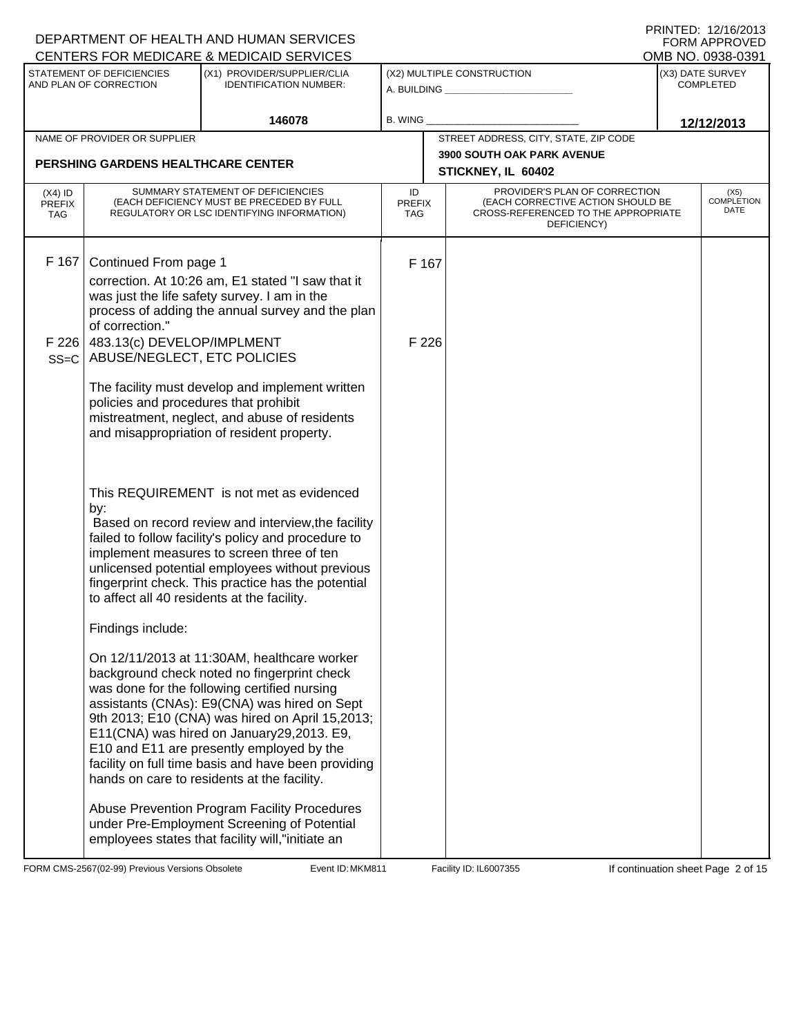|                                          |                                                           | DEPARTMENT OF HEALTH AND HUMAN SERVICES                                                                                                                                                                                                                                                                                                                                                                                                       |                            |                                                                                                                          | FORM APPROVED                         |
|------------------------------------------|-----------------------------------------------------------|-----------------------------------------------------------------------------------------------------------------------------------------------------------------------------------------------------------------------------------------------------------------------------------------------------------------------------------------------------------------------------------------------------------------------------------------------|----------------------------|--------------------------------------------------------------------------------------------------------------------------|---------------------------------------|
|                                          | STATEMENT OF DEFICIENCIES                                 | CENTERS FOR MEDICARE & MEDICAID SERVICES<br>(X1) PROVIDER/SUPPLIER/CLIA                                                                                                                                                                                                                                                                                                                                                                       |                            | (X2) MULTIPLE CONSTRUCTION                                                                                               | OMB NO. 0938-0391<br>(X3) DATE SURVEY |
|                                          | AND PLAN OF CORRECTION                                    | <b>IDENTIFICATION NUMBER:</b>                                                                                                                                                                                                                                                                                                                                                                                                                 |                            | A. BUILDING <u>___________________</u>                                                                                   | <b>COMPLETED</b>                      |
|                                          |                                                           | 146078                                                                                                                                                                                                                                                                                                                                                                                                                                        | B. WING                    |                                                                                                                          | 12/12/2013                            |
|                                          | NAME OF PROVIDER OR SUPPLIER                              |                                                                                                                                                                                                                                                                                                                                                                                                                                               |                            | STREET ADDRESS, CITY, STATE, ZIP CODE                                                                                    |                                       |
|                                          | <b>PERSHING GARDENS HEALTHCARE CENTER</b>                 |                                                                                                                                                                                                                                                                                                                                                                                                                                               |                            | <b>3900 SOUTH OAK PARK AVENUE</b><br>STICKNEY, IL 60402                                                                  |                                       |
| $(X4)$ ID<br><b>PREFIX</b><br><b>TAG</b> |                                                           | SUMMARY STATEMENT OF DEFICIENCIES<br>(EACH DEFICIENCY MUST BE PRECEDED BY FULL<br>REGULATORY OR LSC IDENTIFYING INFORMATION)                                                                                                                                                                                                                                                                                                                  | ID<br><b>PREFIX</b><br>TAG | PROVIDER'S PLAN OF CORRECTION<br>(EACH CORRECTIVE ACTION SHOULD BE<br>CROSS-REFERENCED TO THE APPROPRIATE<br>DEFICIENCY) | (X5)<br><b>COMPLETION</b><br>DATE     |
| F 167                                    | Continued From page 1<br>of correction."                  | correction. At 10:26 am, E1 stated "I saw that it<br>was just the life safety survey. I am in the<br>process of adding the annual survey and the plan                                                                                                                                                                                                                                                                                         | F 167                      |                                                                                                                          |                                       |
| F 226<br>$SS=C$                          | 483.13(c) DEVELOP/IMPLMENT<br>ABUSE/NEGLECT, ETC POLICIES |                                                                                                                                                                                                                                                                                                                                                                                                                                               | F 226                      |                                                                                                                          |                                       |
|                                          | policies and procedures that prohibit                     | The facility must develop and implement written<br>mistreatment, neglect, and abuse of residents<br>and misappropriation of resident property.                                                                                                                                                                                                                                                                                                |                            |                                                                                                                          |                                       |
|                                          | by:<br>to affect all 40 residents at the facility.        | This REQUIREMENT is not met as evidenced<br>Based on record review and interview, the facility<br>failed to follow facility's policy and procedure to<br>implement measures to screen three of ten<br>unlicensed potential employees without previous<br>fingerprint check. This practice has the potential                                                                                                                                   |                            |                                                                                                                          |                                       |
|                                          | Findings include:                                         |                                                                                                                                                                                                                                                                                                                                                                                                                                               |                            |                                                                                                                          |                                       |
|                                          |                                                           | On 12/11/2013 at 11:30AM, healthcare worker<br>background check noted no fingerprint check<br>was done for the following certified nursing<br>assistants (CNAs): E9(CNA) was hired on Sept<br>9th 2013; E10 (CNA) was hired on April 15,2013;<br>E11(CNA) was hired on January29,2013. E9,<br>E10 and E11 are presently employed by the<br>facility on full time basis and have been providing<br>hands on care to residents at the facility. |                            |                                                                                                                          |                                       |
|                                          |                                                           | Abuse Prevention Program Facility Procedures<br>under Pre-Employment Screening of Potential<br>employees states that facility will,"initiate an                                                                                                                                                                                                                                                                                               |                            |                                                                                                                          |                                       |

FORM CMS-2567(02-99) Previous Versions Obsolete Event ID: MKM811 Facility ID: IL6007355 If continuation sheet Page 2 of 15

DEPARTMENT OF HEALTH AND HUMAN SERVICES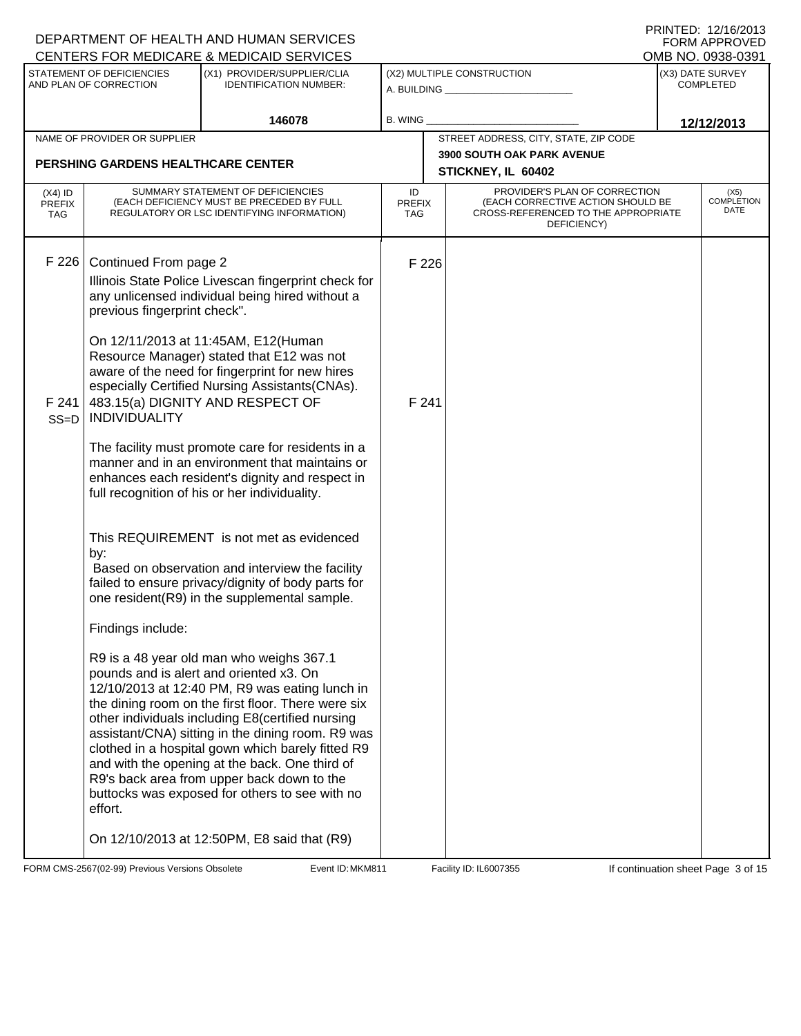|                                          |                                                                                                                      | DEPARTMENT OF HEALTH AND HUMAN SERVICES<br>CENTERS FOR MEDICARE & MEDICAID SERVICES                                                                                                                                                                                                                                                                                                                                                                                                                                                                                                                                                                                                                                                                                                                                                                                                                                                                                                                                                                                                                                                                                                                                                                                 |                            |                                                                                                                          | FNINIEU. IZIUZUIJ<br><b>FORM APPROVED</b><br>OMB NO. 0938-0391 |
|------------------------------------------|----------------------------------------------------------------------------------------------------------------------|---------------------------------------------------------------------------------------------------------------------------------------------------------------------------------------------------------------------------------------------------------------------------------------------------------------------------------------------------------------------------------------------------------------------------------------------------------------------------------------------------------------------------------------------------------------------------------------------------------------------------------------------------------------------------------------------------------------------------------------------------------------------------------------------------------------------------------------------------------------------------------------------------------------------------------------------------------------------------------------------------------------------------------------------------------------------------------------------------------------------------------------------------------------------------------------------------------------------------------------------------------------------|----------------------------|--------------------------------------------------------------------------------------------------------------------------|----------------------------------------------------------------|
|                                          | STATEMENT OF DEFICIENCIES<br>AND PLAN OF CORRECTION                                                                  | (X1) PROVIDER/SUPPLIER/CLIA<br><b>IDENTIFICATION NUMBER:</b>                                                                                                                                                                                                                                                                                                                                                                                                                                                                                                                                                                                                                                                                                                                                                                                                                                                                                                                                                                                                                                                                                                                                                                                                        |                            | (X2) MULTIPLE CONSTRUCTION<br>A. BUILDING <b>A.</b> BUILDING                                                             | (X3) DATE SURVEY<br><b>COMPLETED</b>                           |
|                                          |                                                                                                                      | 146078                                                                                                                                                                                                                                                                                                                                                                                                                                                                                                                                                                                                                                                                                                                                                                                                                                                                                                                                                                                                                                                                                                                                                                                                                                                              | B. WING                    |                                                                                                                          | 12/12/2013                                                     |
|                                          | NAME OF PROVIDER OR SUPPLIER                                                                                         |                                                                                                                                                                                                                                                                                                                                                                                                                                                                                                                                                                                                                                                                                                                                                                                                                                                                                                                                                                                                                                                                                                                                                                                                                                                                     |                            | STREET ADDRESS, CITY, STATE, ZIP CODE                                                                                    |                                                                |
|                                          | <b>PERSHING GARDENS HEALTHCARE CENTER</b>                                                                            |                                                                                                                                                                                                                                                                                                                                                                                                                                                                                                                                                                                                                                                                                                                                                                                                                                                                                                                                                                                                                                                                                                                                                                                                                                                                     |                            | <b>3900 SOUTH OAK PARK AVENUE</b><br>STICKNEY, IL 60402                                                                  |                                                                |
| $(X4)$ ID<br><b>PREFIX</b><br><b>TAG</b> |                                                                                                                      | SUMMARY STATEMENT OF DEFICIENCIES<br>(EACH DEFICIENCY MUST BE PRECEDED BY FULL<br>REGULATORY OR LSC IDENTIFYING INFORMATION)                                                                                                                                                                                                                                                                                                                                                                                                                                                                                                                                                                                                                                                                                                                                                                                                                                                                                                                                                                                                                                                                                                                                        | ID<br><b>PREFIX</b><br>TAG | PROVIDER'S PLAN OF CORRECTION<br>(EACH CORRECTIVE ACTION SHOULD BE<br>CROSS-REFERENCED TO THE APPROPRIATE<br>DEFICIENCY) | (X5)<br><b>COMPLETION</b><br>DATE                              |
| F226<br>F 241<br>$SS=D$                  | Continued From page 2<br>previous fingerprint check".<br><b>INDIVIDUALITY</b><br>by:<br>Findings include:<br>effort. | Illinois State Police Livescan fingerprint check for<br>any unlicensed individual being hired without a<br>On 12/11/2013 at 11:45AM, E12(Human<br>Resource Manager) stated that E12 was not<br>aware of the need for fingerprint for new hires<br>especially Certified Nursing Assistants(CNAs).<br>483.15(a) DIGNITY AND RESPECT OF<br>The facility must promote care for residents in a<br>manner and in an environment that maintains or<br>enhances each resident's dignity and respect in<br>full recognition of his or her individuality.<br>This REQUIREMENT is not met as evidenced<br>Based on observation and interview the facility<br>failed to ensure privacy/dignity of body parts for<br>one resident(R9) in the supplemental sample.<br>R9 is a 48 year old man who weighs 367.1<br>pounds and is alert and oriented x3. On<br>12/10/2013 at 12:40 PM, R9 was eating lunch in<br>the dining room on the first floor. There were six<br>other individuals including E8(certified nursing<br>assistant/CNA) sitting in the dining room. R9 was<br>clothed in a hospital gown which barely fitted R9<br>and with the opening at the back. One third of<br>R9's back area from upper back down to the<br>buttocks was exposed for others to see with no | F 226<br>F 241             |                                                                                                                          |                                                                |
|                                          |                                                                                                                      | On 12/10/2013 at 12:50PM, E8 said that (R9)                                                                                                                                                                                                                                                                                                                                                                                                                                                                                                                                                                                                                                                                                                                                                                                                                                                                                                                                                                                                                                                                                                                                                                                                                         |                            |                                                                                                                          |                                                                |

FORM CMS-2567(02-99) Previous Versions Obsolete **MEXELLED: Event ID: MKM811** Facility ID: IL6007355 If continuation sheet Page 3 of 15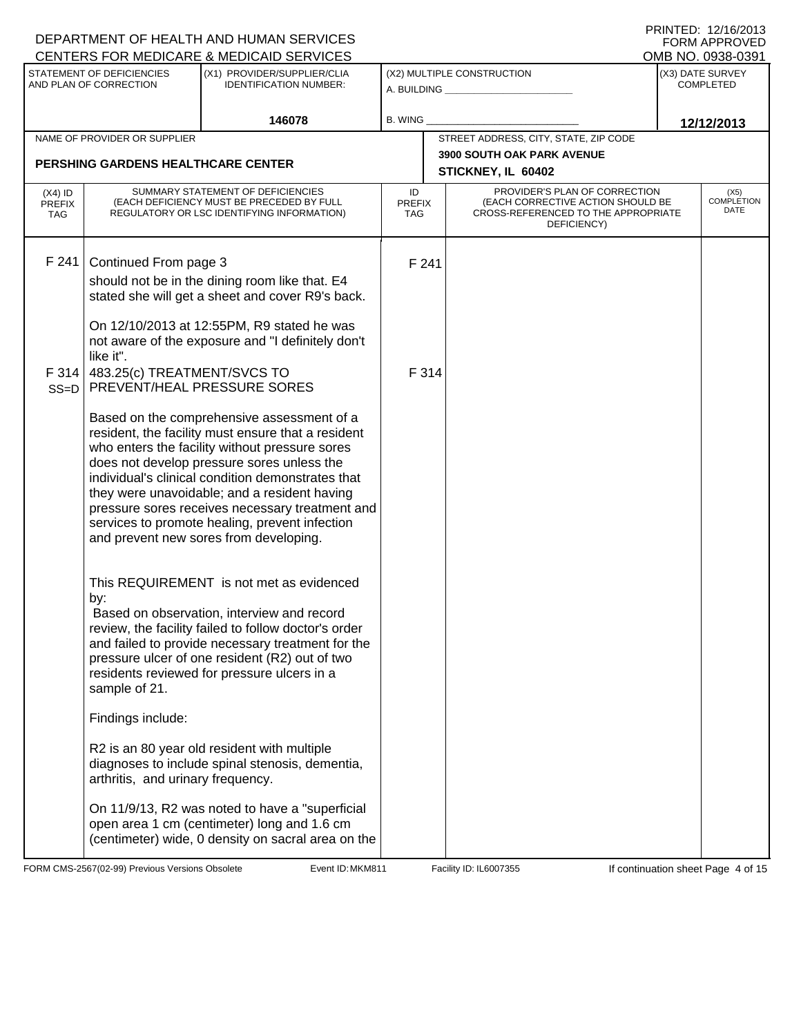|                                          |                                           | DEPARTMENT OF HEALTH AND HUMAN SERVICES<br>CENTERS FOR MEDICARE & MEDICAID SERVICES                                                                                                                                                                                                                                                                                                                                                                  |                            |                                                                                                                          | FORM APPROVED<br>OMB NO. 0938-0391 |
|------------------------------------------|-------------------------------------------|------------------------------------------------------------------------------------------------------------------------------------------------------------------------------------------------------------------------------------------------------------------------------------------------------------------------------------------------------------------------------------------------------------------------------------------------------|----------------------------|--------------------------------------------------------------------------------------------------------------------------|------------------------------------|
|                                          | <b>STATEMENT OF DEFICIENCIES</b>          | (X1) PROVIDER/SUPPLIER/CLIA                                                                                                                                                                                                                                                                                                                                                                                                                          |                            | (X2) MULTIPLE CONSTRUCTION                                                                                               | (X3) DATE SURVEY                   |
|                                          | AND PLAN OF CORRECTION                    | <b>IDENTIFICATION NUMBER:</b>                                                                                                                                                                                                                                                                                                                                                                                                                        |                            | A. BUILDING <u>____________________</u>                                                                                  | <b>COMPLETED</b>                   |
|                                          |                                           | 146078                                                                                                                                                                                                                                                                                                                                                                                                                                               | B. WING                    |                                                                                                                          | 12/12/2013                         |
|                                          | NAME OF PROVIDER OR SUPPLIER              |                                                                                                                                                                                                                                                                                                                                                                                                                                                      |                            | STREET ADDRESS, CITY, STATE, ZIP CODE                                                                                    |                                    |
|                                          | <b>PERSHING GARDENS HEALTHCARE CENTER</b> |                                                                                                                                                                                                                                                                                                                                                                                                                                                      |                            | 3900 SOUTH OAK PARK AVENUE<br>STICKNEY, IL 60402                                                                         |                                    |
| $(X4)$ ID<br><b>PREFIX</b><br><b>TAG</b> |                                           | SUMMARY STATEMENT OF DEFICIENCIES<br>(EACH DEFICIENCY MUST BE PRECEDED BY FULL<br>REGULATORY OR LSC IDENTIFYING INFORMATION)                                                                                                                                                                                                                                                                                                                         | ID<br><b>PREFIX</b><br>TAG | PROVIDER'S PLAN OF CORRECTION<br>(EACH CORRECTIVE ACTION SHOULD BE<br>CROSS-REFERENCED TO THE APPROPRIATE<br>DEFICIENCY) | (X5)<br><b>COMPLETION</b><br>DATE  |
| F 241                                    | Continued From page 3<br>like it".        | should not be in the dining room like that. E4<br>stated she will get a sheet and cover R9's back.<br>On 12/10/2013 at 12:55PM, R9 stated he was<br>not aware of the exposure and "I definitely don't                                                                                                                                                                                                                                                | F 241                      |                                                                                                                          |                                    |
|                                          | F 314 $ $ 483.25(c) TREATMENT/SVCS TO     | SS=D   PREVENT/HEAL PRESSURE SORES                                                                                                                                                                                                                                                                                                                                                                                                                   | F 314                      |                                                                                                                          |                                    |
|                                          |                                           | Based on the comprehensive assessment of a<br>resident, the facility must ensure that a resident<br>who enters the facility without pressure sores<br>does not develop pressure sores unless the<br>individual's clinical condition demonstrates that<br>they were unavoidable; and a resident having<br>pressure sores receives necessary treatment and<br>services to promote healing, prevent infection<br>and prevent new sores from developing. |                            |                                                                                                                          |                                    |
|                                          | by:<br>sample of 21.                      | This REQUIREMENT is not met as evidenced<br>Based on observation, interview and record<br>review, the facility failed to follow doctor's order<br>and failed to provide necessary treatment for the<br>pressure ulcer of one resident (R2) out of two<br>residents reviewed for pressure ulcers in a                                                                                                                                                 |                            |                                                                                                                          |                                    |
|                                          | Findings include:                         |                                                                                                                                                                                                                                                                                                                                                                                                                                                      |                            |                                                                                                                          |                                    |
|                                          | arthritis, and urinary frequency.         | R2 is an 80 year old resident with multiple<br>diagnoses to include spinal stenosis, dementia,                                                                                                                                                                                                                                                                                                                                                       |                            |                                                                                                                          |                                    |
|                                          |                                           | On 11/9/13, R2 was noted to have a "superficial<br>open area 1 cm (centimeter) long and 1.6 cm<br>(centimeter) wide, 0 density on sacral area on the                                                                                                                                                                                                                                                                                                 |                            |                                                                                                                          |                                    |

FORM CMS-2567(02-99) Previous Versions Obsolete **MKM811** Event ID: MKM811 Facility ID: IL6007355 If continuation sheet Page 4 of 15

DEPARTMENT OF HEALTH AND HUMAN SERVICES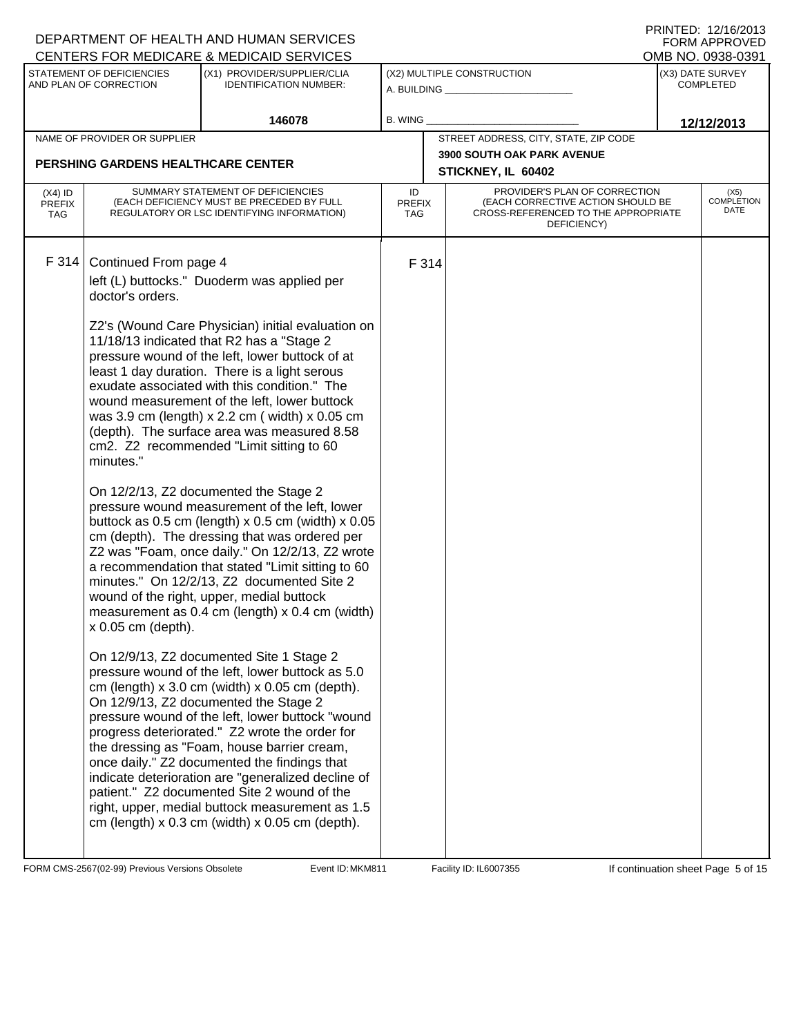| STATEMENT OF DEFICIENCIES<br>(X2) MULTIPLE CONSTRUCTION<br>(X3) DATE SURVEY<br>(X1) PROVIDER/SUPPLIER/CLIA<br>AND PLAN OF CORRECTION<br><b>IDENTIFICATION NUMBER:</b><br><b>COMPLETED</b><br>A. BUILDING <b>A.</b> BUILDING<br>146078<br><b>B. WING</b><br>12/12/2013<br>STREET ADDRESS, CITY, STATE, ZIP CODE<br>NAME OF PROVIDER OR SUPPLIER<br><b>3900 SOUTH OAK PARK AVENUE</b><br>PERSHING GARDENS HEALTHCARE CENTER<br>STICKNEY, IL 60402<br>PROVIDER'S PLAN OF CORRECTION<br>SUMMARY STATEMENT OF DEFICIENCIES<br>ID<br>(X5)<br>$(X4)$ ID<br><b>COMPLETION</b><br>(EACH CORRECTIVE ACTION SHOULD BE<br>(EACH DEFICIENCY MUST BE PRECEDED BY FULL<br><b>PREFIX</b><br><b>PREFIX</b><br>DATE<br>CROSS-REFERENCED TO THE APPROPRIATE<br>REGULATORY OR LSC IDENTIFYING INFORMATION)<br>TAG<br><b>TAG</b><br>DEFICIENCY)<br>F 314<br>Continued From page 4<br>F 314<br>left (L) buttocks." Duoderm was applied per<br>doctor's orders.<br>Z2's (Wound Care Physician) initial evaluation on<br>11/18/13 indicated that R2 has a "Stage 2<br>pressure wound of the left, lower buttock of at<br>least 1 day duration. There is a light serous<br>exudate associated with this condition." The<br>wound measurement of the left, lower buttock<br>was 3.9 cm (length) x 2.2 cm ( width) x 0.05 cm<br>(depth). The surface area was measured 8.58<br>cm2. Z2 recommended "Limit sitting to 60<br>minutes."<br>On 12/2/13, Z2 documented the Stage 2<br>pressure wound measurement of the left, lower<br>buttock as $0.5$ cm (length) x $0.5$ cm (width) x $0.05$<br>cm (depth). The dressing that was ordered per<br>Z2 was "Foam, once daily." On 12/2/13, Z2 wrote<br>a recommendation that stated "Limit sitting to 60<br>minutes." On 12/2/13, Z2 documented Site 2<br>wound of the right, upper, medial buttock<br>measurement as 0.4 cm (length) x 0.4 cm (width)<br>x 0.05 cm (depth).<br>On 12/9/13, Z2 documented Site 1 Stage 2<br>pressure wound of the left, lower buttock as 5.0<br>cm (length) $x$ 3.0 cm (width) $x$ 0.05 cm (depth). |  | DEPARTMENT OF HEALTH AND HUMAN SERVICES<br>CENTERS FOR MEDICARE & MEDICAID SERVICES |  |  | FNINIEU. IZIIUZUIJ<br><b>FORM APPROVED</b><br>OMB NO. 0938-0391 |
|-----------------------------------------------------------------------------------------------------------------------------------------------------------------------------------------------------------------------------------------------------------------------------------------------------------------------------------------------------------------------------------------------------------------------------------------------------------------------------------------------------------------------------------------------------------------------------------------------------------------------------------------------------------------------------------------------------------------------------------------------------------------------------------------------------------------------------------------------------------------------------------------------------------------------------------------------------------------------------------------------------------------------------------------------------------------------------------------------------------------------------------------------------------------------------------------------------------------------------------------------------------------------------------------------------------------------------------------------------------------------------------------------------------------------------------------------------------------------------------------------------------------------------------------------------------------------------------------------------------------------------------------------------------------------------------------------------------------------------------------------------------------------------------------------------------------------------------------------------------------------------------------------------------------------------------------------------------------------------------------------------------------------------------------------------|--|-------------------------------------------------------------------------------------|--|--|-----------------------------------------------------------------|
|                                                                                                                                                                                                                                                                                                                                                                                                                                                                                                                                                                                                                                                                                                                                                                                                                                                                                                                                                                                                                                                                                                                                                                                                                                                                                                                                                                                                                                                                                                                                                                                                                                                                                                                                                                                                                                                                                                                                                                                                                                                     |  |                                                                                     |  |  |                                                                 |
|                                                                                                                                                                                                                                                                                                                                                                                                                                                                                                                                                                                                                                                                                                                                                                                                                                                                                                                                                                                                                                                                                                                                                                                                                                                                                                                                                                                                                                                                                                                                                                                                                                                                                                                                                                                                                                                                                                                                                                                                                                                     |  |                                                                                     |  |  |                                                                 |
|                                                                                                                                                                                                                                                                                                                                                                                                                                                                                                                                                                                                                                                                                                                                                                                                                                                                                                                                                                                                                                                                                                                                                                                                                                                                                                                                                                                                                                                                                                                                                                                                                                                                                                                                                                                                                                                                                                                                                                                                                                                     |  |                                                                                     |  |  |                                                                 |
|                                                                                                                                                                                                                                                                                                                                                                                                                                                                                                                                                                                                                                                                                                                                                                                                                                                                                                                                                                                                                                                                                                                                                                                                                                                                                                                                                                                                                                                                                                                                                                                                                                                                                                                                                                                                                                                                                                                                                                                                                                                     |  |                                                                                     |  |  |                                                                 |
|                                                                                                                                                                                                                                                                                                                                                                                                                                                                                                                                                                                                                                                                                                                                                                                                                                                                                                                                                                                                                                                                                                                                                                                                                                                                                                                                                                                                                                                                                                                                                                                                                                                                                                                                                                                                                                                                                                                                                                                                                                                     |  |                                                                                     |  |  |                                                                 |
| On 12/9/13, Z2 documented the Stage 2<br>pressure wound of the left, lower buttock "wound<br>progress deteriorated." Z2 wrote the order for<br>the dressing as "Foam, house barrier cream,<br>once daily." Z2 documented the findings that<br>indicate deterioration are "generalized decline of<br>patient." Z2 documented Site 2 wound of the<br>right, upper, medial buttock measurement as 1.5<br>cm (length) $x$ 0.3 cm (width) $x$ 0.05 cm (depth).                                                                                                                                                                                                                                                                                                                                                                                                                                                                                                                                                                                                                                                                                                                                                                                                                                                                                                                                                                                                                                                                                                                                                                                                                                                                                                                                                                                                                                                                                                                                                                                           |  |                                                                                     |  |  |                                                                 |

FORM CMS-2567(02-99) Previous Versions Obsolete **MKM811** Event ID: MKM811 Facility ID: IL6007355 If continuation sheet Page 5 of 15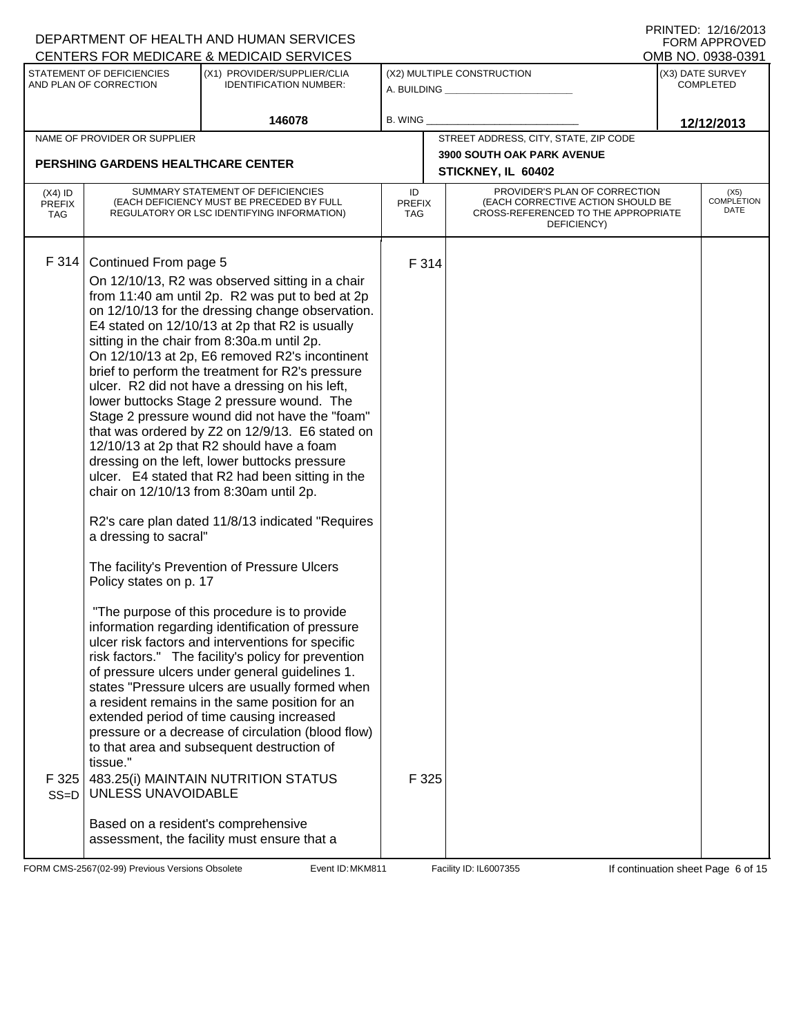|                                          |                                                                                                                                                   | DEPARTMENT OF HEALTH AND HUMAN SERVICES<br>CENTERS FOR MEDICARE & MEDICAID SERVICES                                                                                                                                                                                                                                                                                                                                                                                                                                                                                                                                                                                                                                                                                                                                                                                                                                                                                                                                                                                                                                                                                                                                                                                                                                                                                                                                                |                            |                                                                                                                          | FORM APPROVED<br>OMB NO. 0938-0391 |
|------------------------------------------|---------------------------------------------------------------------------------------------------------------------------------------------------|------------------------------------------------------------------------------------------------------------------------------------------------------------------------------------------------------------------------------------------------------------------------------------------------------------------------------------------------------------------------------------------------------------------------------------------------------------------------------------------------------------------------------------------------------------------------------------------------------------------------------------------------------------------------------------------------------------------------------------------------------------------------------------------------------------------------------------------------------------------------------------------------------------------------------------------------------------------------------------------------------------------------------------------------------------------------------------------------------------------------------------------------------------------------------------------------------------------------------------------------------------------------------------------------------------------------------------------------------------------------------------------------------------------------------------|----------------------------|--------------------------------------------------------------------------------------------------------------------------|------------------------------------|
|                                          | STATEMENT OF DEFICIENCIES                                                                                                                         | (X1) PROVIDER/SUPPLIER/CLIA                                                                                                                                                                                                                                                                                                                                                                                                                                                                                                                                                                                                                                                                                                                                                                                                                                                                                                                                                                                                                                                                                                                                                                                                                                                                                                                                                                                                        |                            | (X2) MULTIPLE CONSTRUCTION                                                                                               | (X3) DATE SURVEY                   |
|                                          | AND PLAN OF CORRECTION                                                                                                                            | <b>IDENTIFICATION NUMBER:</b>                                                                                                                                                                                                                                                                                                                                                                                                                                                                                                                                                                                                                                                                                                                                                                                                                                                                                                                                                                                                                                                                                                                                                                                                                                                                                                                                                                                                      |                            | A. BUILDING <b>A. BUILDING</b>                                                                                           | <b>COMPLETED</b>                   |
|                                          |                                                                                                                                                   | 146078                                                                                                                                                                                                                                                                                                                                                                                                                                                                                                                                                                                                                                                                                                                                                                                                                                                                                                                                                                                                                                                                                                                                                                                                                                                                                                                                                                                                                             | <b>B. WING</b>             |                                                                                                                          | 12/12/2013                         |
|                                          | NAME OF PROVIDER OR SUPPLIER                                                                                                                      |                                                                                                                                                                                                                                                                                                                                                                                                                                                                                                                                                                                                                                                                                                                                                                                                                                                                                                                                                                                                                                                                                                                                                                                                                                                                                                                                                                                                                                    |                            | STREET ADDRESS, CITY, STATE, ZIP CODE                                                                                    |                                    |
|                                          | <b>PERSHING GARDENS HEALTHCARE CENTER</b>                                                                                                         |                                                                                                                                                                                                                                                                                                                                                                                                                                                                                                                                                                                                                                                                                                                                                                                                                                                                                                                                                                                                                                                                                                                                                                                                                                                                                                                                                                                                                                    |                            | 3900 SOUTH OAK PARK AVENUE<br>STICKNEY, IL 60402                                                                         |                                    |
| $(X4)$ ID<br><b>PREFIX</b><br><b>TAG</b> |                                                                                                                                                   | SUMMARY STATEMENT OF DEFICIENCIES<br>(EACH DEFICIENCY MUST BE PRECEDED BY FULL<br>REGULATORY OR LSC IDENTIFYING INFORMATION)                                                                                                                                                                                                                                                                                                                                                                                                                                                                                                                                                                                                                                                                                                                                                                                                                                                                                                                                                                                                                                                                                                                                                                                                                                                                                                       | ID<br><b>PREFIX</b><br>TAG | PROVIDER'S PLAN OF CORRECTION<br>(EACH CORRECTIVE ACTION SHOULD BE<br>CROSS-REFERENCED TO THE APPROPRIATE<br>DEFICIENCY) | (X5)<br><b>COMPLETION</b><br>DATE  |
| F314<br>F 325<br>$SS=D$                  | Continued From page 5<br>a dressing to sacral"<br>Policy states on p. 17<br>tissue."<br>UNLESS UNAVOIDABLE<br>Based on a resident's comprehensive | On 12/10/13, R2 was observed sitting in a chair<br>from 11:40 am until 2p. R2 was put to bed at 2p<br>on 12/10/13 for the dressing change observation.<br>E4 stated on 12/10/13 at 2p that R2 is usually<br>sitting in the chair from 8:30a.m until 2p.<br>On 12/10/13 at 2p, E6 removed R2's incontinent<br>brief to perform the treatment for R2's pressure<br>ulcer. R2 did not have a dressing on his left,<br>lower buttocks Stage 2 pressure wound. The<br>Stage 2 pressure wound did not have the "foam"<br>that was ordered by Z2 on 12/9/13. E6 stated on<br>12/10/13 at 2p that R2 should have a foam<br>dressing on the left, lower buttocks pressure<br>ulcer. E4 stated that R2 had been sitting in the<br>chair on 12/10/13 from 8:30am until 2p.<br>R2's care plan dated 11/8/13 indicated "Requires<br>The facility's Prevention of Pressure Ulcers<br>"The purpose of this procedure is to provide<br>information regarding identification of pressure<br>ulcer risk factors and interventions for specific<br>risk factors." The facility's policy for prevention<br>of pressure ulcers under general guidelines 1.<br>states "Pressure ulcers are usually formed when<br>a resident remains in the same position for an<br>extended period of time causing increased<br>pressure or a decrease of circulation (blood flow)<br>to that area and subsequent destruction of<br>483.25(i) MAINTAIN NUTRITION STATUS | F 314<br>F 325             |                                                                                                                          |                                    |
|                                          |                                                                                                                                                   | assessment, the facility must ensure that a                                                                                                                                                                                                                                                                                                                                                                                                                                                                                                                                                                                                                                                                                                                                                                                                                                                                                                                                                                                                                                                                                                                                                                                                                                                                                                                                                                                        |                            |                                                                                                                          |                                    |

FORM CMS-2567(02-99) Previous Versions Obsolete **MKM811** Event ID: MKM811 Facility ID: IL6007355 If continuation sheet Page 6 of 15

DEPARTMENT OF HEALTH AND HUMAN SERVICES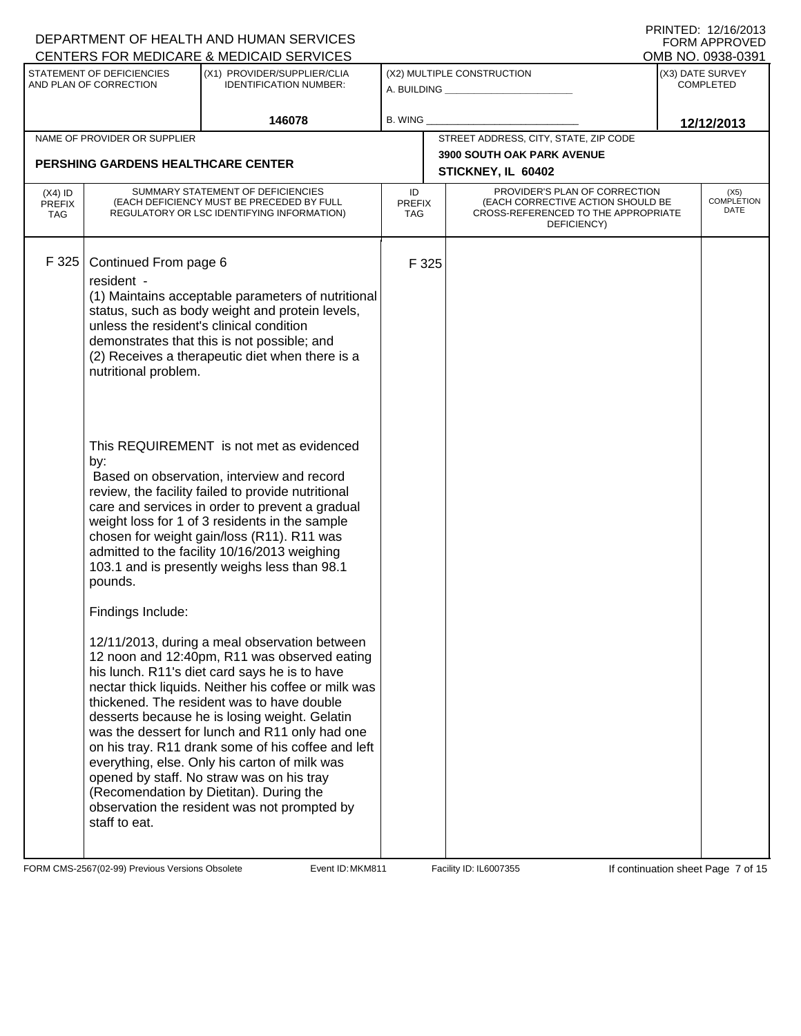|                                          |                                                                                                                                                                 | DEPARTMENT OF HEALTH AND HUMAN SERVICES                                                                                                                                                                                                                                                                                                                                                                                                                                                                                                                                                                                                                                                                                                                                                                                                                                                                                                                                                                                                                                                                                                                                                                              |                            |                                                                                                                          |                                      | FNINIED. IZIUZUIJ<br><b>FORM APPROVED</b> |
|------------------------------------------|-----------------------------------------------------------------------------------------------------------------------------------------------------------------|----------------------------------------------------------------------------------------------------------------------------------------------------------------------------------------------------------------------------------------------------------------------------------------------------------------------------------------------------------------------------------------------------------------------------------------------------------------------------------------------------------------------------------------------------------------------------------------------------------------------------------------------------------------------------------------------------------------------------------------------------------------------------------------------------------------------------------------------------------------------------------------------------------------------------------------------------------------------------------------------------------------------------------------------------------------------------------------------------------------------------------------------------------------------------------------------------------------------|----------------------------|--------------------------------------------------------------------------------------------------------------------------|--------------------------------------|-------------------------------------------|
|                                          |                                                                                                                                                                 | CENTERS FOR MEDICARE & MEDICAID SERVICES                                                                                                                                                                                                                                                                                                                                                                                                                                                                                                                                                                                                                                                                                                                                                                                                                                                                                                                                                                                                                                                                                                                                                                             |                            |                                                                                                                          |                                      | OMB NO. 0938-0391                         |
|                                          | STATEMENT OF DEFICIENCIES<br>AND PLAN OF CORRECTION                                                                                                             | (X1) PROVIDER/SUPPLIER/CLIA<br><b>IDENTIFICATION NUMBER:</b>                                                                                                                                                                                                                                                                                                                                                                                                                                                                                                                                                                                                                                                                                                                                                                                                                                                                                                                                                                                                                                                                                                                                                         |                            | (X2) MULTIPLE CONSTRUCTION<br>A. BUILDING <b>A. BUILDING</b>                                                             | (X3) DATE SURVEY<br><b>COMPLETED</b> |                                           |
|                                          |                                                                                                                                                                 | 146078                                                                                                                                                                                                                                                                                                                                                                                                                                                                                                                                                                                                                                                                                                                                                                                                                                                                                                                                                                                                                                                                                                                                                                                                               | <b>B. WING</b>             |                                                                                                                          |                                      | 12/12/2013                                |
|                                          | NAME OF PROVIDER OR SUPPLIER                                                                                                                                    |                                                                                                                                                                                                                                                                                                                                                                                                                                                                                                                                                                                                                                                                                                                                                                                                                                                                                                                                                                                                                                                                                                                                                                                                                      |                            | STREET ADDRESS, CITY, STATE, ZIP CODE                                                                                    |                                      |                                           |
|                                          | <b>PERSHING GARDENS HEALTHCARE CENTER</b>                                                                                                                       |                                                                                                                                                                                                                                                                                                                                                                                                                                                                                                                                                                                                                                                                                                                                                                                                                                                                                                                                                                                                                                                                                                                                                                                                                      |                            | <b>3900 SOUTH OAK PARK AVENUE</b>                                                                                        |                                      |                                           |
|                                          |                                                                                                                                                                 |                                                                                                                                                                                                                                                                                                                                                                                                                                                                                                                                                                                                                                                                                                                                                                                                                                                                                                                                                                                                                                                                                                                                                                                                                      |                            | STICKNEY, IL 60402                                                                                                       |                                      |                                           |
| $(X4)$ ID<br><b>PREFIX</b><br><b>TAG</b> |                                                                                                                                                                 | SUMMARY STATEMENT OF DEFICIENCIES<br>(EACH DEFICIENCY MUST BE PRECEDED BY FULL<br>REGULATORY OR LSC IDENTIFYING INFORMATION)                                                                                                                                                                                                                                                                                                                                                                                                                                                                                                                                                                                                                                                                                                                                                                                                                                                                                                                                                                                                                                                                                         | ID<br><b>PREFIX</b><br>TAG | PROVIDER'S PLAN OF CORRECTION<br>(EACH CORRECTIVE ACTION SHOULD BE<br>CROSS-REFERENCED TO THE APPROPRIATE<br>DEFICIENCY) |                                      | (X5)<br><b>COMPLETION</b><br>DATE         |
| F 325                                    | Continued From page 6<br>resident -<br>unless the resident's clinical condition<br>nutritional problem.<br>by:<br>pounds.<br>Findings Include:<br>staff to eat. | (1) Maintains acceptable parameters of nutritional<br>status, such as body weight and protein levels,<br>demonstrates that this is not possible; and<br>(2) Receives a therapeutic diet when there is a<br>This REQUIREMENT is not met as evidenced<br>Based on observation, interview and record<br>review, the facility failed to provide nutritional<br>care and services in order to prevent a gradual<br>weight loss for 1 of 3 residents in the sample<br>chosen for weight gain/loss (R11). R11 was<br>admitted to the facility 10/16/2013 weighing<br>103.1 and is presently weighs less than 98.1<br>12/11/2013, during a meal observation between<br>12 noon and 12:40pm, R11 was observed eating<br>his lunch. R11's diet card says he is to have<br>nectar thick liquids. Neither his coffee or milk was<br>thickened. The resident was to have double<br>desserts because he is losing weight. Gelatin<br>was the dessert for lunch and R11 only had one<br>on his tray. R11 drank some of his coffee and left<br>everything, else. Only his carton of milk was<br>opened by staff. No straw was on his tray<br>(Recomendation by Dietitan). During the<br>observation the resident was not prompted by | F 325                      |                                                                                                                          |                                      |                                           |

FORM CMS-2567(02-99) Previous Versions Obsolete **MKM811** Event ID: MKM811 Facility ID: IL6007355 If continuation sheet Page 7 of 15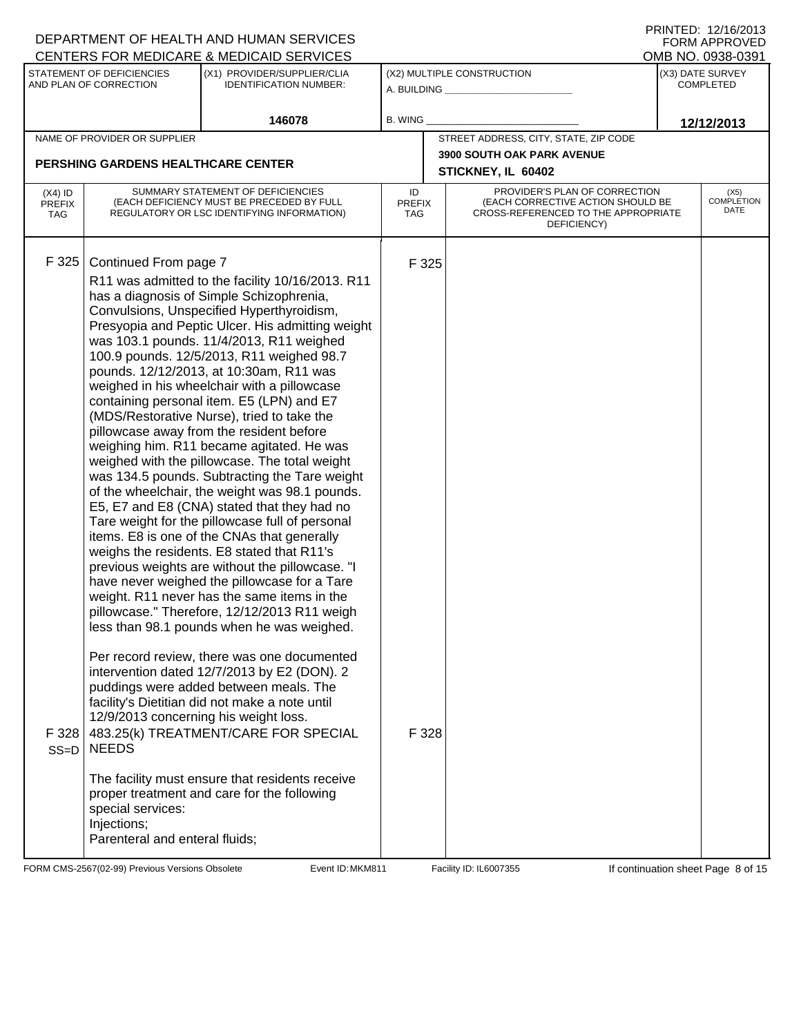|                                          |                                                                                                                                                      | DEPARTMENT OF HEALTH AND HUMAN SERVICES<br>CENTERS FOR MEDICARE & MEDICAID SERVICES                                                                                                                                                                                                                                                                                                                                                                                                                                                                                                                                                                                                                                                                                                                                                                                                                                                                                                                                                                                                                                                                                                                                                                                                                                                                                                                                                                                                                         |                            |                                                                                                                          | FNINIEU. IZIUZUIJ<br><b>FORM APPROVED</b><br>OMB NO. 0938-0391 |
|------------------------------------------|------------------------------------------------------------------------------------------------------------------------------------------------------|-------------------------------------------------------------------------------------------------------------------------------------------------------------------------------------------------------------------------------------------------------------------------------------------------------------------------------------------------------------------------------------------------------------------------------------------------------------------------------------------------------------------------------------------------------------------------------------------------------------------------------------------------------------------------------------------------------------------------------------------------------------------------------------------------------------------------------------------------------------------------------------------------------------------------------------------------------------------------------------------------------------------------------------------------------------------------------------------------------------------------------------------------------------------------------------------------------------------------------------------------------------------------------------------------------------------------------------------------------------------------------------------------------------------------------------------------------------------------------------------------------------|----------------------------|--------------------------------------------------------------------------------------------------------------------------|----------------------------------------------------------------|
|                                          | STATEMENT OF DEFICIENCIES<br>AND PLAN OF CORRECTION                                                                                                  | (X1) PROVIDER/SUPPLIER/CLIA<br><b>IDENTIFICATION NUMBER:</b>                                                                                                                                                                                                                                                                                                                                                                                                                                                                                                                                                                                                                                                                                                                                                                                                                                                                                                                                                                                                                                                                                                                                                                                                                                                                                                                                                                                                                                                |                            | (X2) MULTIPLE CONSTRUCTION<br>A. BUILDING <b>A.</b> BUILDING                                                             | (X3) DATE SURVEY<br><b>COMPLETED</b>                           |
|                                          |                                                                                                                                                      | 146078                                                                                                                                                                                                                                                                                                                                                                                                                                                                                                                                                                                                                                                                                                                                                                                                                                                                                                                                                                                                                                                                                                                                                                                                                                                                                                                                                                                                                                                                                                      | <b>B. WING</b>             |                                                                                                                          | 12/12/2013                                                     |
|                                          | NAME OF PROVIDER OR SUPPLIER                                                                                                                         |                                                                                                                                                                                                                                                                                                                                                                                                                                                                                                                                                                                                                                                                                                                                                                                                                                                                                                                                                                                                                                                                                                                                                                                                                                                                                                                                                                                                                                                                                                             |                            | STREET ADDRESS, CITY, STATE, ZIP CODE                                                                                    |                                                                |
|                                          | <b>PERSHING GARDENS HEALTHCARE CENTER</b>                                                                                                            |                                                                                                                                                                                                                                                                                                                                                                                                                                                                                                                                                                                                                                                                                                                                                                                                                                                                                                                                                                                                                                                                                                                                                                                                                                                                                                                                                                                                                                                                                                             |                            | <b>3900 SOUTH OAK PARK AVENUE</b><br>STICKNEY, IL 60402                                                                  |                                                                |
| $(X4)$ ID<br><b>PREFIX</b><br><b>TAG</b> |                                                                                                                                                      | SUMMARY STATEMENT OF DEFICIENCIES<br>(EACH DEFICIENCY MUST BE PRECEDED BY FULL<br>REGULATORY OR LSC IDENTIFYING INFORMATION)                                                                                                                                                                                                                                                                                                                                                                                                                                                                                                                                                                                                                                                                                                                                                                                                                                                                                                                                                                                                                                                                                                                                                                                                                                                                                                                                                                                | ID<br><b>PREFIX</b><br>TAG | PROVIDER'S PLAN OF CORRECTION<br>(EACH CORRECTIVE ACTION SHOULD BE<br>CROSS-REFERENCED TO THE APPROPRIATE<br>DEFICIENCY) | (X5)<br><b>COMPLETION</b><br>DATE                              |
| F 325<br>F 328<br>$SS=D$                 | Continued From page 7<br>12/9/2013 concerning his weight loss.<br><b>NEEDS</b><br>special services:<br>Injections;<br>Parenteral and enteral fluids; | R11 was admitted to the facility 10/16/2013. R11<br>has a diagnosis of Simple Schizophrenia,<br>Convulsions, Unspecified Hyperthyroidism,<br>Presyopia and Peptic Ulcer. His admitting weight<br>was 103.1 pounds. 11/4/2013, R11 weighed<br>100.9 pounds. 12/5/2013, R11 weighed 98.7<br>pounds. 12/12/2013, at 10:30am, R11 was<br>weighed in his wheelchair with a pillowcase<br>containing personal item. E5 (LPN) and E7<br>(MDS/Restorative Nurse), tried to take the<br>pillowcase away from the resident before<br>weighing him. R11 became agitated. He was<br>weighed with the pillowcase. The total weight<br>was 134.5 pounds. Subtracting the Tare weight<br>of the wheelchair, the weight was 98.1 pounds.<br>E5, E7 and E8 (CNA) stated that they had no<br>Tare weight for the pillowcase full of personal<br>items. E8 is one of the CNAs that generally<br>weighs the residents. E8 stated that R11's<br>previous weights are without the pillowcase. "I<br>have never weighed the pillowcase for a Tare<br>weight. R11 never has the same items in the<br>pillowcase." Therefore, 12/12/2013 R11 weigh<br>less than 98.1 pounds when he was weighed.<br>Per record review, there was one documented<br>intervention dated 12/7/2013 by E2 (DON). 2<br>puddings were added between meals. The<br>facility's Dietitian did not make a note until<br>483.25(k) TREATMENT/CARE FOR SPECIAL<br>The facility must ensure that residents receive<br>proper treatment and care for the following | F 325<br>F 328             |                                                                                                                          |                                                                |

FORM CMS-2567(02-99) Previous Versions Obsolete **MKM811** Event ID: MKM811 Facility ID: IL6007355 If continuation sheet Page 8 of 15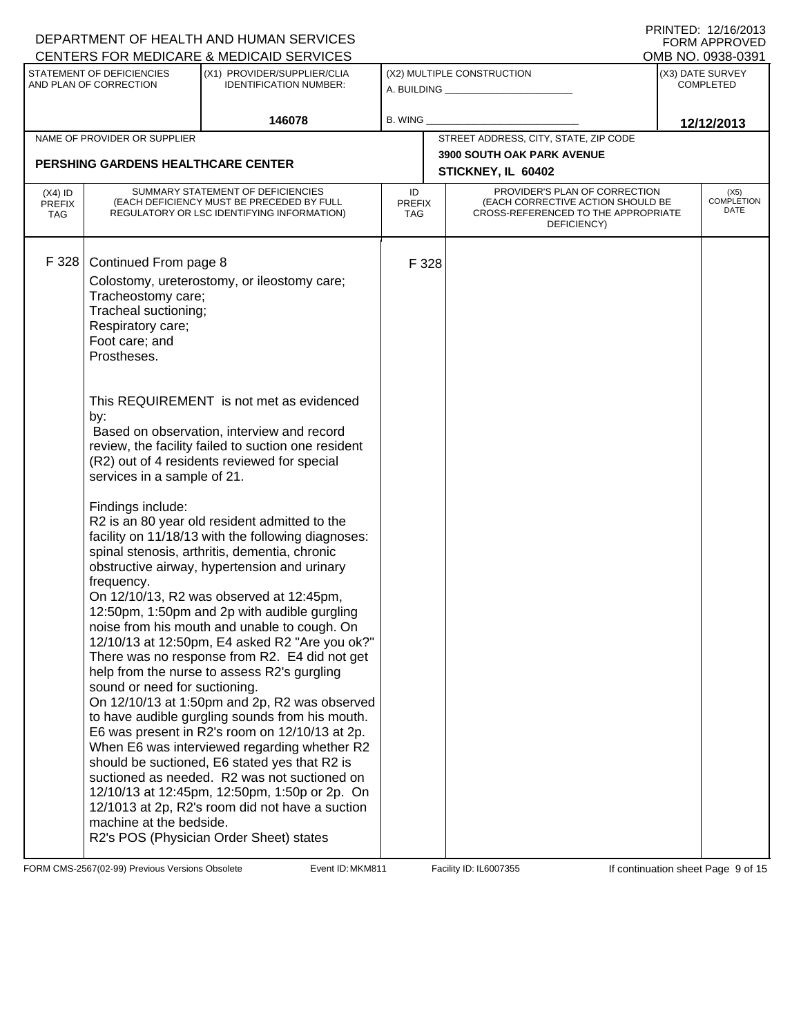|                                          |                                                                                                                                                                                                                                                                | DEPARTMENT OF HEALTH AND HUMAN SERVICES                                                                                                                                                                                                                                                                                                                                                                                                                                                                                                                                                                                                                                                                                                                                                                                                                                                                                                                                                                                                                                                                                                                                                                  |                            |                                                                                                                          |                                      | FNINIED. IZIUZUIJ<br><b>FORM APPROVED</b> |
|------------------------------------------|----------------------------------------------------------------------------------------------------------------------------------------------------------------------------------------------------------------------------------------------------------------|----------------------------------------------------------------------------------------------------------------------------------------------------------------------------------------------------------------------------------------------------------------------------------------------------------------------------------------------------------------------------------------------------------------------------------------------------------------------------------------------------------------------------------------------------------------------------------------------------------------------------------------------------------------------------------------------------------------------------------------------------------------------------------------------------------------------------------------------------------------------------------------------------------------------------------------------------------------------------------------------------------------------------------------------------------------------------------------------------------------------------------------------------------------------------------------------------------|----------------------------|--------------------------------------------------------------------------------------------------------------------------|--------------------------------------|-------------------------------------------|
|                                          |                                                                                                                                                                                                                                                                | CENTERS FOR MEDICARE & MEDICAID SERVICES                                                                                                                                                                                                                                                                                                                                                                                                                                                                                                                                                                                                                                                                                                                                                                                                                                                                                                                                                                                                                                                                                                                                                                 |                            |                                                                                                                          |                                      | OMB NO. 0938-0391                         |
|                                          | STATEMENT OF DEFICIENCIES<br>AND PLAN OF CORRECTION                                                                                                                                                                                                            | (X1) PROVIDER/SUPPLIER/CLIA<br><b>IDENTIFICATION NUMBER:</b>                                                                                                                                                                                                                                                                                                                                                                                                                                                                                                                                                                                                                                                                                                                                                                                                                                                                                                                                                                                                                                                                                                                                             |                            | (X2) MULTIPLE CONSTRUCTION<br>A. BUILDING <b>A.</b> BUILDING                                                             | (X3) DATE SURVEY<br><b>COMPLETED</b> |                                           |
|                                          |                                                                                                                                                                                                                                                                | 146078                                                                                                                                                                                                                                                                                                                                                                                                                                                                                                                                                                                                                                                                                                                                                                                                                                                                                                                                                                                                                                                                                                                                                                                                   | <b>B. WING</b>             |                                                                                                                          |                                      | 12/12/2013                                |
|                                          | NAME OF PROVIDER OR SUPPLIER                                                                                                                                                                                                                                   |                                                                                                                                                                                                                                                                                                                                                                                                                                                                                                                                                                                                                                                                                                                                                                                                                                                                                                                                                                                                                                                                                                                                                                                                          |                            | STREET ADDRESS, CITY, STATE, ZIP CODE                                                                                    |                                      |                                           |
|                                          | <b>PERSHING GARDENS HEALTHCARE CENTER</b>                                                                                                                                                                                                                      |                                                                                                                                                                                                                                                                                                                                                                                                                                                                                                                                                                                                                                                                                                                                                                                                                                                                                                                                                                                                                                                                                                                                                                                                          |                            | <b>3900 SOUTH OAK PARK AVENUE</b>                                                                                        |                                      |                                           |
|                                          |                                                                                                                                                                                                                                                                |                                                                                                                                                                                                                                                                                                                                                                                                                                                                                                                                                                                                                                                                                                                                                                                                                                                                                                                                                                                                                                                                                                                                                                                                          |                            | STICKNEY, IL 60402                                                                                                       |                                      |                                           |
| $(X4)$ ID<br><b>PREFIX</b><br><b>TAG</b> |                                                                                                                                                                                                                                                                | SUMMARY STATEMENT OF DEFICIENCIES<br>(EACH DEFICIENCY MUST BE PRECEDED BY FULL<br>REGULATORY OR LSC IDENTIFYING INFORMATION)                                                                                                                                                                                                                                                                                                                                                                                                                                                                                                                                                                                                                                                                                                                                                                                                                                                                                                                                                                                                                                                                             | ID<br><b>PREFIX</b><br>TAG | PROVIDER'S PLAN OF CORRECTION<br>(EACH CORRECTIVE ACTION SHOULD BE<br>CROSS-REFERENCED TO THE APPROPRIATE<br>DEFICIENCY) |                                      | (X5)<br><b>COMPLETION</b><br>DATE         |
| F 328                                    | Continued From page 8<br>Tracheostomy care;<br>Tracheal suctioning;<br>Respiratory care;<br>Foot care; and<br>Prostheses.<br>by:<br>services in a sample of 21.<br>Findings include:<br>frequency.<br>sound or need for suctioning.<br>machine at the bedside. | Colostomy, ureterostomy, or ileostomy care;<br>This REQUIREMENT is not met as evidenced<br>Based on observation, interview and record<br>review, the facility failed to suction one resident<br>(R2) out of 4 residents reviewed for special<br>R2 is an 80 year old resident admitted to the<br>facility on 11/18/13 with the following diagnoses:<br>spinal stenosis, arthritis, dementia, chronic<br>obstructive airway, hypertension and urinary<br>On 12/10/13, R2 was observed at 12:45pm,<br>12:50pm, 1:50pm and 2p with audible gurgling<br>noise from his mouth and unable to cough. On<br>12/10/13 at 12:50pm, E4 asked R2 "Are you ok?"<br>There was no response from R2. E4 did not get<br>help from the nurse to assess R2's gurgling<br>On 12/10/13 at 1:50pm and 2p, R2 was observed<br>to have audible gurgling sounds from his mouth.<br>E6 was present in R2's room on 12/10/13 at 2p.<br>When E6 was interviewed regarding whether R2<br>should be suctioned, E6 stated yes that R2 is<br>suctioned as needed. R2 was not suctioned on<br>12/10/13 at 12:45pm, 12:50pm, 1:50p or 2p. On<br>12/1013 at 2p, R2's room did not have a suction<br>R2's POS (Physician Order Sheet) states | F 328                      |                                                                                                                          |                                      |                                           |

FORM CMS-2567(02-99) Previous Versions Obsolete **MKM811** Event ID: MKM811 Facility ID: IL6007355 If continuation sheet Page 9 of 15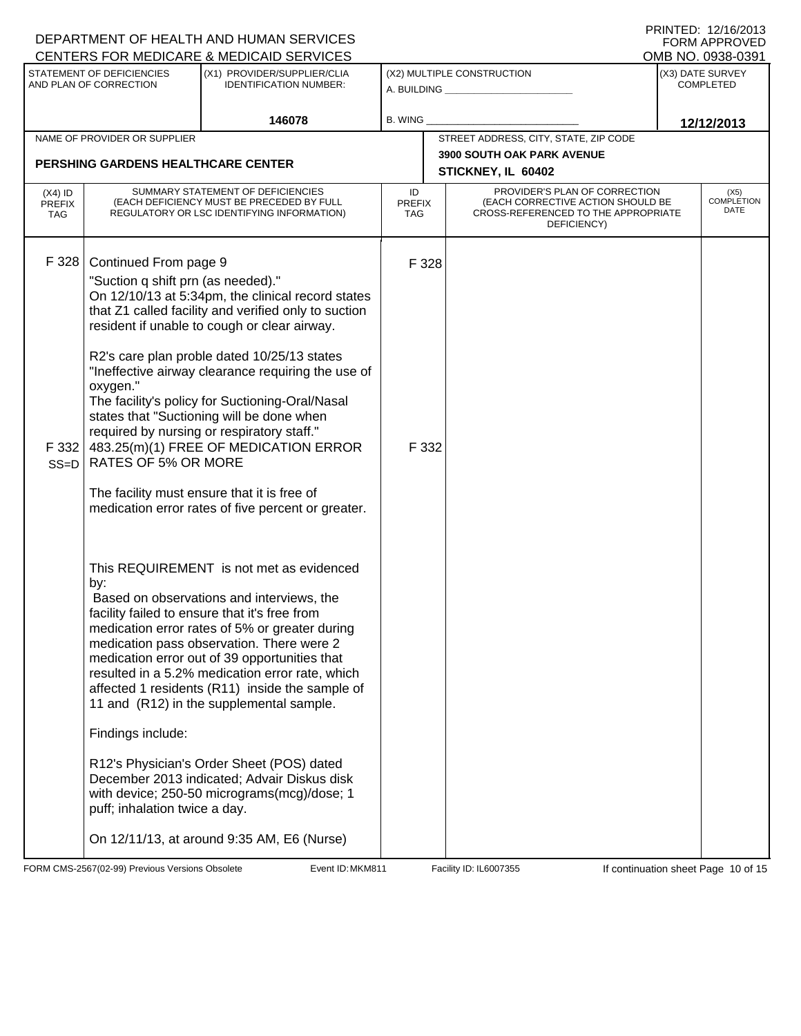|                                          |                                                             | DEPARTMENT OF HEALTH AND HUMAN SERVICES<br>CENTERS FOR MEDICARE & MEDICAID SERVICES                                                                                                                                                                                                                                                                                                                                                      |                            |                                                                                                                          | FNINIEU. IZIIUZUIJ<br><b>FORM APPROVED</b><br>OMB NO. 0938-0391 |
|------------------------------------------|-------------------------------------------------------------|------------------------------------------------------------------------------------------------------------------------------------------------------------------------------------------------------------------------------------------------------------------------------------------------------------------------------------------------------------------------------------------------------------------------------------------|----------------------------|--------------------------------------------------------------------------------------------------------------------------|-----------------------------------------------------------------|
|                                          | STATEMENT OF DEFICIENCIES<br>AND PLAN OF CORRECTION         | (X1) PROVIDER/SUPPLIER/CLIA<br><b>IDENTIFICATION NUMBER:</b>                                                                                                                                                                                                                                                                                                                                                                             |                            | (X2) MULTIPLE CONSTRUCTION<br>A. BUILDING <b>A.</b> BUILDING                                                             | (X3) DATE SURVEY<br><b>COMPLETED</b>                            |
|                                          |                                                             | 146078                                                                                                                                                                                                                                                                                                                                                                                                                                   | <b>B. WING</b>             |                                                                                                                          | 12/12/2013                                                      |
|                                          | NAME OF PROVIDER OR SUPPLIER                                |                                                                                                                                                                                                                                                                                                                                                                                                                                          |                            | STREET ADDRESS, CITY, STATE, ZIP CODE                                                                                    |                                                                 |
|                                          | <b>PERSHING GARDENS HEALTHCARE CENTER</b>                   |                                                                                                                                                                                                                                                                                                                                                                                                                                          |                            | <b>3900 SOUTH OAK PARK AVENUE</b><br>STICKNEY, IL 60402                                                                  |                                                                 |
| $(X4)$ ID<br><b>PREFIX</b><br><b>TAG</b> |                                                             | SUMMARY STATEMENT OF DEFICIENCIES<br>(EACH DEFICIENCY MUST BE PRECEDED BY FULL<br>REGULATORY OR LSC IDENTIFYING INFORMATION)                                                                                                                                                                                                                                                                                                             | ID<br><b>PREFIX</b><br>TAG | PROVIDER'S PLAN OF CORRECTION<br>(EACH CORRECTIVE ACTION SHOULD BE<br>CROSS-REFERENCED TO THE APPROPRIATE<br>DEFICIENCY) | (X5)<br><b>COMPLETION</b><br>DATE                               |
| F 328                                    | Continued From page 9<br>"Suction q shift prn (as needed)." | On 12/10/13 at 5:34pm, the clinical record states<br>that Z1 called facility and verified only to suction<br>resident if unable to cough or clear airway.                                                                                                                                                                                                                                                                                | F 328                      |                                                                                                                          |                                                                 |
| F 332<br>$SS=D$                          | oxygen."<br>RATES OF 5% OR MORE                             | R2's care plan proble dated 10/25/13 states<br>"Ineffective airway clearance requiring the use of<br>The facility's policy for Suctioning-Oral/Nasal<br>states that "Suctioning will be done when<br>required by nursing or respiratory staff."<br>483.25(m)(1) FREE OF MEDICATION ERROR                                                                                                                                                 | F 332                      |                                                                                                                          |                                                                 |
|                                          |                                                             | The facility must ensure that it is free of<br>medication error rates of five percent or greater.                                                                                                                                                                                                                                                                                                                                        |                            |                                                                                                                          |                                                                 |
|                                          | by:                                                         | This REQUIREMENT is not met as evidenced<br>Based on observations and interviews, the<br>facility failed to ensure that it's free from<br>medication error rates of 5% or greater during<br>medication pass observation. There were 2<br>medication error out of 39 opportunities that<br>resulted in a 5.2% medication error rate, which<br>affected 1 residents (R11) inside the sample of<br>11 and (R12) in the supplemental sample. |                            |                                                                                                                          |                                                                 |
|                                          | Findings include:                                           |                                                                                                                                                                                                                                                                                                                                                                                                                                          |                            |                                                                                                                          |                                                                 |
|                                          | puff; inhalation twice a day.                               | R12's Physician's Order Sheet (POS) dated<br>December 2013 indicated; Advair Diskus disk<br>with device; 250-50 micrograms(mcg)/dose; 1                                                                                                                                                                                                                                                                                                  |                            |                                                                                                                          |                                                                 |
|                                          |                                                             | On 12/11/13, at around 9:35 AM, E6 (Nurse)                                                                                                                                                                                                                                                                                                                                                                                               |                            |                                                                                                                          |                                                                 |

FORM CMS-2567(02-99) Previous Versions Obsolete Event ID: MKM811 Facility ID: IL6007355 If continuation sheet Page 10 of 15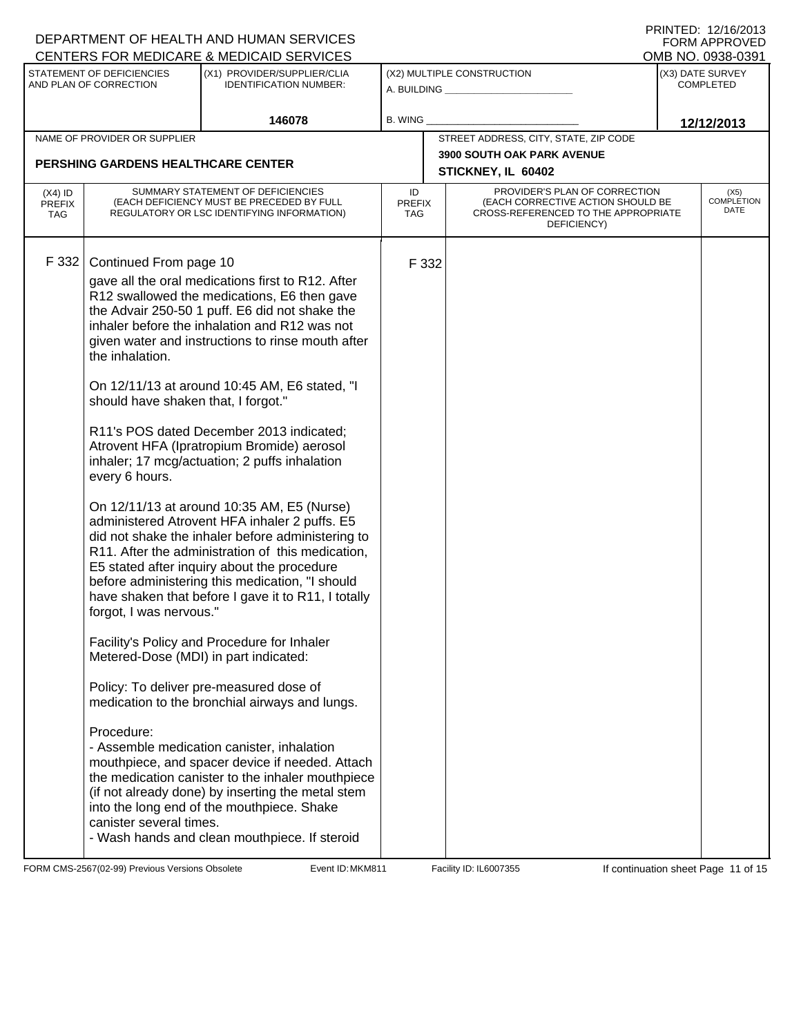|                                          |                                                                                                                                                                                                                 | DEPARTMENT OF HEALTH AND HUMAN SERVICES                                                                                                                                                                                                                                                                                                                                                                                                                                                                                                                                                                                                                                                                                                                                                                                                                                                                                                                                                                                                                                                                                                                                                                                                                                      |                            |                                                                                                                          | FNINIED. IZIUZUIJ<br><b>FORM APPROVED</b> |
|------------------------------------------|-----------------------------------------------------------------------------------------------------------------------------------------------------------------------------------------------------------------|------------------------------------------------------------------------------------------------------------------------------------------------------------------------------------------------------------------------------------------------------------------------------------------------------------------------------------------------------------------------------------------------------------------------------------------------------------------------------------------------------------------------------------------------------------------------------------------------------------------------------------------------------------------------------------------------------------------------------------------------------------------------------------------------------------------------------------------------------------------------------------------------------------------------------------------------------------------------------------------------------------------------------------------------------------------------------------------------------------------------------------------------------------------------------------------------------------------------------------------------------------------------------|----------------------------|--------------------------------------------------------------------------------------------------------------------------|-------------------------------------------|
|                                          |                                                                                                                                                                                                                 | CENTERS FOR MEDICARE & MEDICAID SERVICES                                                                                                                                                                                                                                                                                                                                                                                                                                                                                                                                                                                                                                                                                                                                                                                                                                                                                                                                                                                                                                                                                                                                                                                                                                     |                            |                                                                                                                          | OMB NO. 0938-0391                         |
|                                          | STATEMENT OF DEFICIENCIES<br>AND PLAN OF CORRECTION                                                                                                                                                             | (X1) PROVIDER/SUPPLIER/CLIA<br><b>IDENTIFICATION NUMBER:</b>                                                                                                                                                                                                                                                                                                                                                                                                                                                                                                                                                                                                                                                                                                                                                                                                                                                                                                                                                                                                                                                                                                                                                                                                                 |                            | (X2) MULTIPLE CONSTRUCTION<br>A. BUILDING <b>A.</b> BUILDING                                                             | (X3) DATE SURVEY<br><b>COMPLETED</b>      |
|                                          |                                                                                                                                                                                                                 | 146078                                                                                                                                                                                                                                                                                                                                                                                                                                                                                                                                                                                                                                                                                                                                                                                                                                                                                                                                                                                                                                                                                                                                                                                                                                                                       | <b>B. WING</b>             |                                                                                                                          | 12/12/2013                                |
|                                          | NAME OF PROVIDER OR SUPPLIER                                                                                                                                                                                    |                                                                                                                                                                                                                                                                                                                                                                                                                                                                                                                                                                                                                                                                                                                                                                                                                                                                                                                                                                                                                                                                                                                                                                                                                                                                              |                            | STREET ADDRESS, CITY, STATE, ZIP CODE                                                                                    |                                           |
|                                          | PERSHING GARDENS HEALTHCARE CENTER                                                                                                                                                                              |                                                                                                                                                                                                                                                                                                                                                                                                                                                                                                                                                                                                                                                                                                                                                                                                                                                                                                                                                                                                                                                                                                                                                                                                                                                                              |                            | <b>3900 SOUTH OAK PARK AVENUE</b>                                                                                        |                                           |
|                                          |                                                                                                                                                                                                                 |                                                                                                                                                                                                                                                                                                                                                                                                                                                                                                                                                                                                                                                                                                                                                                                                                                                                                                                                                                                                                                                                                                                                                                                                                                                                              |                            | STICKNEY, IL 60402                                                                                                       |                                           |
| $(X4)$ ID<br><b>PREFIX</b><br><b>TAG</b> |                                                                                                                                                                                                                 | SUMMARY STATEMENT OF DEFICIENCIES<br>(EACH DEFICIENCY MUST BE PRECEDED BY FULL<br>REGULATORY OR LSC IDENTIFYING INFORMATION)                                                                                                                                                                                                                                                                                                                                                                                                                                                                                                                                                                                                                                                                                                                                                                                                                                                                                                                                                                                                                                                                                                                                                 | ID<br><b>PREFIX</b><br>TAG | PROVIDER'S PLAN OF CORRECTION<br>(EACH CORRECTIVE ACTION SHOULD BE<br>CROSS-REFERENCED TO THE APPROPRIATE<br>DEFICIENCY) | (X5)<br><b>COMPLETION</b><br>DATE         |
| F 332                                    | Continued From page 10<br>the inhalation.<br>should have shaken that, I forgot."<br>every 6 hours.<br>forgot, I was nervous."<br>Metered-Dose (MDI) in part indicated:<br>Procedure:<br>canister several times. | gave all the oral medications first to R12. After<br>R12 swallowed the medications, E6 then gave<br>the Advair 250-50 1 puff. E6 did not shake the<br>inhaler before the inhalation and R12 was not<br>given water and instructions to rinse mouth after<br>On 12/11/13 at around 10:45 AM, E6 stated, "I<br>R11's POS dated December 2013 indicated;<br>Atrovent HFA (Ipratropium Bromide) aerosol<br>inhaler; 17 mcg/actuation; 2 puffs inhalation<br>On 12/11/13 at around 10:35 AM, E5 (Nurse)<br>administered Atrovent HFA inhaler 2 puffs. E5<br>did not shake the inhaler before administering to<br>R11. After the administration of this medication,<br>E5 stated after inquiry about the procedure<br>before administering this medication, "I should<br>have shaken that before I gave it to R11, I totally<br>Facility's Policy and Procedure for Inhaler<br>Policy: To deliver pre-measured dose of<br>medication to the bronchial airways and lungs.<br>- Assemble medication canister, inhalation<br>mouthpiece, and spacer device if needed. Attach<br>the medication canister to the inhaler mouthpiece<br>(if not already done) by inserting the metal stem<br>into the long end of the mouthpiece. Shake<br>- Wash hands and clean mouthpiece. If steroid | F 332                      |                                                                                                                          |                                           |
|                                          |                                                                                                                                                                                                                 |                                                                                                                                                                                                                                                                                                                                                                                                                                                                                                                                                                                                                                                                                                                                                                                                                                                                                                                                                                                                                                                                                                                                                                                                                                                                              |                            |                                                                                                                          |                                           |

FORM CMS-2567(02-99) Previous Versions Obsolete **MKM811** Event ID: MKM811 Facility ID: IL6007355 If continuation sheet Page 11 of 15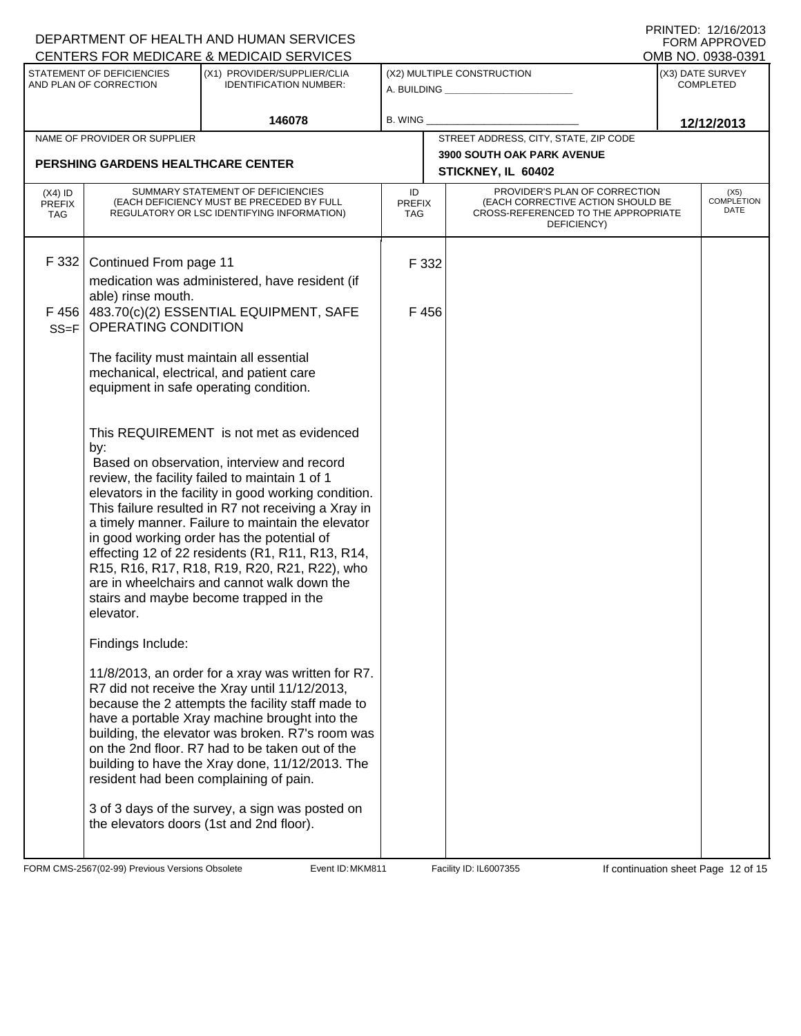|                                          |                                                                                                                                                                                                    | DEPARTMENT OF HEALTH AND HUMAN SERVICES<br>CENTERS FOR MEDICARE & MEDICAID SERVICES                                                                                                                                                                                                                                                                                                                                                                                                                                                                                                                                                                                                                                                                                                                                                                                                                                                                                                                                                                                                                                                                                 |                            |                                                                                                                          | FNINIEU. IZHUZUIJ<br>FORM APPROVED<br>OMB NO. 0938-0391 |
|------------------------------------------|----------------------------------------------------------------------------------------------------------------------------------------------------------------------------------------------------|---------------------------------------------------------------------------------------------------------------------------------------------------------------------------------------------------------------------------------------------------------------------------------------------------------------------------------------------------------------------------------------------------------------------------------------------------------------------------------------------------------------------------------------------------------------------------------------------------------------------------------------------------------------------------------------------------------------------------------------------------------------------------------------------------------------------------------------------------------------------------------------------------------------------------------------------------------------------------------------------------------------------------------------------------------------------------------------------------------------------------------------------------------------------|----------------------------|--------------------------------------------------------------------------------------------------------------------------|---------------------------------------------------------|
|                                          | STATEMENT OF DEFICIENCIES<br>AND PLAN OF CORRECTION                                                                                                                                                | (X1) PROVIDER/SUPPLIER/CLIA<br><b>IDENTIFICATION NUMBER:</b>                                                                                                                                                                                                                                                                                                                                                                                                                                                                                                                                                                                                                                                                                                                                                                                                                                                                                                                                                                                                                                                                                                        |                            | (X2) MULTIPLE CONSTRUCTION<br>A. BUILDING <b>A.</b> BUILDING                                                             | (X3) DATE SURVEY<br><b>COMPLETED</b>                    |
|                                          |                                                                                                                                                                                                    | 146078                                                                                                                                                                                                                                                                                                                                                                                                                                                                                                                                                                                                                                                                                                                                                                                                                                                                                                                                                                                                                                                                                                                                                              | <b>B. WING</b>             |                                                                                                                          | 12/12/2013                                              |
|                                          | NAME OF PROVIDER OR SUPPLIER                                                                                                                                                                       |                                                                                                                                                                                                                                                                                                                                                                                                                                                                                                                                                                                                                                                                                                                                                                                                                                                                                                                                                                                                                                                                                                                                                                     |                            | STREET ADDRESS, CITY, STATE, ZIP CODE                                                                                    |                                                         |
|                                          | <b>PERSHING GARDENS HEALTHCARE CENTER</b>                                                                                                                                                          |                                                                                                                                                                                                                                                                                                                                                                                                                                                                                                                                                                                                                                                                                                                                                                                                                                                                                                                                                                                                                                                                                                                                                                     |                            | <b>3900 SOUTH OAK PARK AVENUE</b><br>STICKNEY, IL 60402                                                                  |                                                         |
| $(X4)$ ID<br><b>PREFIX</b><br><b>TAG</b> |                                                                                                                                                                                                    | SUMMARY STATEMENT OF DEFICIENCIES<br>(EACH DEFICIENCY MUST BE PRECEDED BY FULL<br>REGULATORY OR LSC IDENTIFYING INFORMATION)                                                                                                                                                                                                                                                                                                                                                                                                                                                                                                                                                                                                                                                                                                                                                                                                                                                                                                                                                                                                                                        | ID<br><b>PREFIX</b><br>TAG | PROVIDER'S PLAN OF CORRECTION<br>(EACH CORRECTIVE ACTION SHOULD BE<br>CROSS-REFERENCED TO THE APPROPRIATE<br>DEFICIENCY) | (X5)<br><b>COMPLETION</b><br>DATE                       |
| F 332<br>F 456<br>$SS = F$               | Continued From page 11<br>able) rinse mouth.<br>OPERATING CONDITION<br>The facility must maintain all essential<br>equipment in safe operating condition.<br>by:<br>elevator.<br>Findings Include: | medication was administered, have resident (if<br>483.70(c)(2) ESSENTIAL EQUIPMENT, SAFE<br>mechanical, electrical, and patient care<br>This REQUIREMENT is not met as evidenced<br>Based on observation, interview and record<br>review, the facility failed to maintain 1 of 1<br>elevators in the facility in good working condition.<br>This failure resulted in R7 not receiving a Xray in<br>a timely manner. Failure to maintain the elevator<br>in good working order has the potential of<br>effecting 12 of 22 residents (R1, R11, R13, R14,<br>R15, R16, R17, R18, R19, R20, R21, R22), who<br>are in wheelchairs and cannot walk down the<br>stairs and maybe become trapped in the<br>11/8/2013, an order for a xray was written for R7.<br>R7 did not receive the Xray until 11/12/2013,<br>because the 2 attempts the facility staff made to<br>have a portable Xray machine brought into the<br>building, the elevator was broken. R7's room was<br>on the 2nd floor. R7 had to be taken out of the<br>building to have the Xray done, 11/12/2013. The<br>resident had been complaining of pain.<br>3 of 3 days of the survey, a sign was posted on | F 332<br>F 456             |                                                                                                                          |                                                         |
|                                          |                                                                                                                                                                                                    | the elevators doors (1st and 2nd floor).                                                                                                                                                                                                                                                                                                                                                                                                                                                                                                                                                                                                                                                                                                                                                                                                                                                                                                                                                                                                                                                                                                                            |                            |                                                                                                                          |                                                         |

FORM CMS-2567(02-99) Previous Versions Obsolete **MEXEL Event ID: MKM811** Facility ID: IL6007355 If continuation sheet Page 12 of 15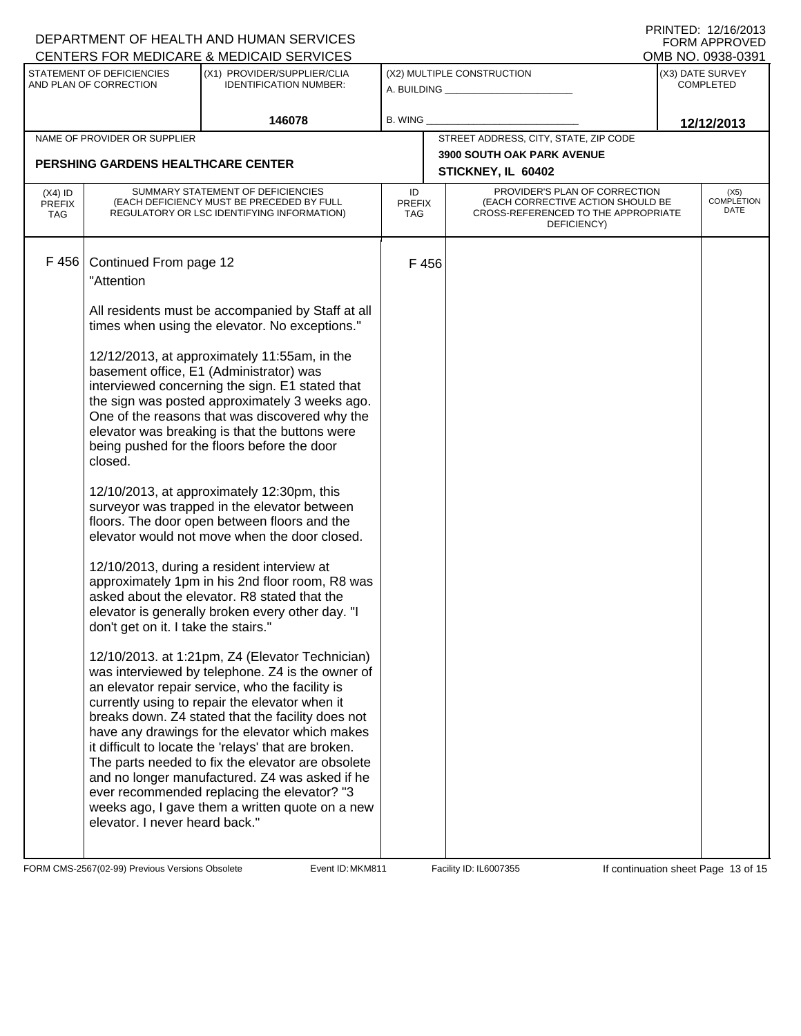| DEPARTMENT OF HEALTH AND HUMAN SERVICES             |                                                                                                                                                                                                                                                                                                                                                                                                                                                                                                                                                                                                                                                                                                                                                                                                                                                                                                                                                       |                                                                                                                                                                                                                                                                                                                                                                                                                                                                                                                                                                                  |                                                              |                                                                                                                          |                                   |                                      | FNINIED. IZIUZUIJ<br><b>FORM APPROVED</b> |  |
|-----------------------------------------------------|-------------------------------------------------------------------------------------------------------------------------------------------------------------------------------------------------------------------------------------------------------------------------------------------------------------------------------------------------------------------------------------------------------------------------------------------------------------------------------------------------------------------------------------------------------------------------------------------------------------------------------------------------------------------------------------------------------------------------------------------------------------------------------------------------------------------------------------------------------------------------------------------------------------------------------------------------------|----------------------------------------------------------------------------------------------------------------------------------------------------------------------------------------------------------------------------------------------------------------------------------------------------------------------------------------------------------------------------------------------------------------------------------------------------------------------------------------------------------------------------------------------------------------------------------|--------------------------------------------------------------|--------------------------------------------------------------------------------------------------------------------------|-----------------------------------|--------------------------------------|-------------------------------------------|--|
| CENTERS FOR MEDICARE & MEDICAID SERVICES            |                                                                                                                                                                                                                                                                                                                                                                                                                                                                                                                                                                                                                                                                                                                                                                                                                                                                                                                                                       |                                                                                                                                                                                                                                                                                                                                                                                                                                                                                                                                                                                  |                                                              |                                                                                                                          |                                   |                                      | OMB NO. 0938-0391                         |  |
| STATEMENT OF DEFICIENCIES<br>AND PLAN OF CORRECTION |                                                                                                                                                                                                                                                                                                                                                                                                                                                                                                                                                                                                                                                                                                                                                                                                                                                                                                                                                       | (X1) PROVIDER/SUPPLIER/CLIA<br><b>IDENTIFICATION NUMBER:</b>                                                                                                                                                                                                                                                                                                                                                                                                                                                                                                                     | (X2) MULTIPLE CONSTRUCTION<br>A. BUILDING <b>A.</b> BUILDING |                                                                                                                          |                                   | (X3) DATE SURVEY<br><b>COMPLETED</b> |                                           |  |
|                                                     |                                                                                                                                                                                                                                                                                                                                                                                                                                                                                                                                                                                                                                                                                                                                                                                                                                                                                                                                                       | 146078                                                                                                                                                                                                                                                                                                                                                                                                                                                                                                                                                                           | <b>B. WING</b>                                               |                                                                                                                          |                                   | 12/12/2013                           |                                           |  |
| NAME OF PROVIDER OR SUPPLIER                        |                                                                                                                                                                                                                                                                                                                                                                                                                                                                                                                                                                                                                                                                                                                                                                                                                                                                                                                                                       |                                                                                                                                                                                                                                                                                                                                                                                                                                                                                                                                                                                  | STREET ADDRESS, CITY, STATE, ZIP CODE                        |                                                                                                                          |                                   |                                      |                                           |  |
|                                                     | PERSHING GARDENS HEALTHCARE CENTER                                                                                                                                                                                                                                                                                                                                                                                                                                                                                                                                                                                                                                                                                                                                                                                                                                                                                                                    |                                                                                                                                                                                                                                                                                                                                                                                                                                                                                                                                                                                  |                                                              |                                                                                                                          | <b>3900 SOUTH OAK PARK AVENUE</b> |                                      |                                           |  |
|                                                     |                                                                                                                                                                                                                                                                                                                                                                                                                                                                                                                                                                                                                                                                                                                                                                                                                                                                                                                                                       |                                                                                                                                                                                                                                                                                                                                                                                                                                                                                                                                                                                  |                                                              |                                                                                                                          | STICKNEY, IL 60402                |                                      |                                           |  |
| $(X4)$ ID<br><b>PREFIX</b><br><b>TAG</b>            | SUMMARY STATEMENT OF DEFICIENCIES<br>(EACH DEFICIENCY MUST BE PRECEDED BY FULL<br>REGULATORY OR LSC IDENTIFYING INFORMATION)                                                                                                                                                                                                                                                                                                                                                                                                                                                                                                                                                                                                                                                                                                                                                                                                                          |                                                                                                                                                                                                                                                                                                                                                                                                                                                                                                                                                                                  | ID<br><b>PREFIX</b><br>TAG                                   | PROVIDER'S PLAN OF CORRECTION<br>(EACH CORRECTIVE ACTION SHOULD BE<br>CROSS-REFERENCED TO THE APPROPRIATE<br>DEFICIENCY) |                                   |                                      | (X5)<br><b>COMPLETION</b><br>DATE         |  |
| F456                                                | Continued From page 12<br>"Attention<br>All residents must be accompanied by Staff at all<br>times when using the elevator. No exceptions."<br>12/12/2013, at approximately 11:55am, in the<br>basement office, E1 (Administrator) was<br>interviewed concerning the sign. E1 stated that<br>the sign was posted approximately 3 weeks ago.<br>One of the reasons that was discovered why the<br>elevator was breaking is that the buttons were<br>being pushed for the floors before the door<br>closed.<br>12/10/2013, at approximately 12:30pm, this<br>surveyor was trapped in the elevator between<br>floors. The door open between floors and the<br>elevator would not move when the door closed.<br>12/10/2013, during a resident interview at<br>approximately 1pm in his 2nd floor room, R8 was<br>asked about the elevator. R8 stated that the<br>elevator is generally broken every other day. "I<br>don't get on it. I take the stairs." |                                                                                                                                                                                                                                                                                                                                                                                                                                                                                                                                                                                  | F 456                                                        |                                                                                                                          |                                   |                                      |                                           |  |
|                                                     | elevator. I never heard back."                                                                                                                                                                                                                                                                                                                                                                                                                                                                                                                                                                                                                                                                                                                                                                                                                                                                                                                        | 12/10/2013. at 1:21pm, Z4 (Elevator Technician)<br>was interviewed by telephone. Z4 is the owner of<br>an elevator repair service, who the facility is<br>currently using to repair the elevator when it<br>breaks down. Z4 stated that the facility does not<br>have any drawings for the elevator which makes<br>it difficult to locate the 'relays' that are broken.<br>The parts needed to fix the elevator are obsolete<br>and no longer manufactured. Z4 was asked if he<br>ever recommended replacing the elevator? "3<br>weeks ago, I gave them a written quote on a new |                                                              |                                                                                                                          |                                   |                                      |                                           |  |

FORM CMS-2567(02-99) Previous Versions Obsolete **MKM811** Event ID: MKM811 Facility ID: IL6007355 If continuation sheet Page 13 of 15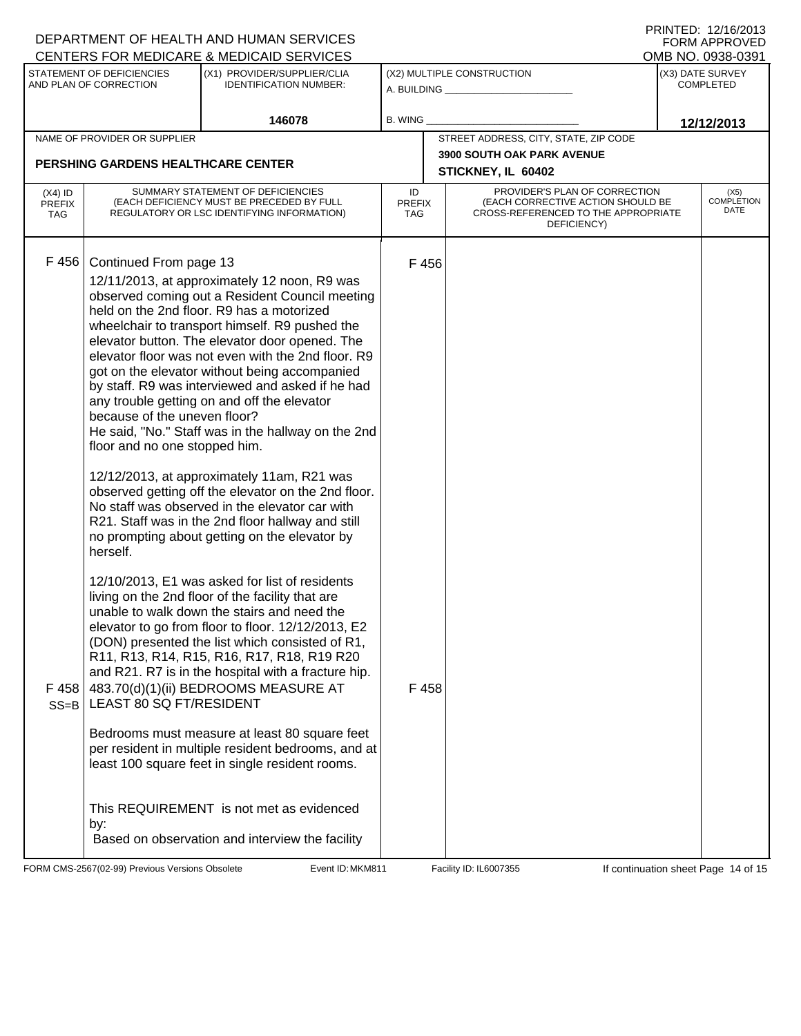|                                                                                                      |                                                                                                                              | DEPARTMENT OF HEALTH AND HUMAN SERVICES                                                                                                                                                                                                                                                                                                                                                                                                                                                                                                                                                                                                                                                                                                                                      | FORM APPROVED<br>OMB NO. 0938-0391                      |                                                                                                                          |                  |                                   |  |
|------------------------------------------------------------------------------------------------------|------------------------------------------------------------------------------------------------------------------------------|------------------------------------------------------------------------------------------------------------------------------------------------------------------------------------------------------------------------------------------------------------------------------------------------------------------------------------------------------------------------------------------------------------------------------------------------------------------------------------------------------------------------------------------------------------------------------------------------------------------------------------------------------------------------------------------------------------------------------------------------------------------------------|---------------------------------------------------------|--------------------------------------------------------------------------------------------------------------------------|------------------|-----------------------------------|--|
| CENTERS FOR MEDICARE & MEDICAID SERVICES<br>STATEMENT OF DEFICIENCIES<br>(X1) PROVIDER/SUPPLIER/CLIA |                                                                                                                              |                                                                                                                                                                                                                                                                                                                                                                                                                                                                                                                                                                                                                                                                                                                                                                              | (X2) MULTIPLE CONSTRUCTION                              |                                                                                                                          |                  | (X3) DATE SURVEY                  |  |
| AND PLAN OF CORRECTION<br><b>IDENTIFICATION NUMBER:</b>                                              |                                                                                                                              | A. BUILDING <u>_____________________</u>                                                                                                                                                                                                                                                                                                                                                                                                                                                                                                                                                                                                                                                                                                                                     |                                                         |                                                                                                                          | <b>COMPLETED</b> |                                   |  |
|                                                                                                      | 146078                                                                                                                       |                                                                                                                                                                                                                                                                                                                                                                                                                                                                                                                                                                                                                                                                                                                                                                              | B. WING                                                 |                                                                                                                          | 12/12/2013       |                                   |  |
|                                                                                                      | NAME OF PROVIDER OR SUPPLIER                                                                                                 |                                                                                                                                                                                                                                                                                                                                                                                                                                                                                                                                                                                                                                                                                                                                                                              |                                                         | STREET ADDRESS, CITY, STATE, ZIP CODE                                                                                    |                  |                                   |  |
| <b>PERSHING GARDENS HEALTHCARE CENTER</b>                                                            |                                                                                                                              |                                                                                                                                                                                                                                                                                                                                                                                                                                                                                                                                                                                                                                                                                                                                                                              | <b>3900 SOUTH OAK PARK AVENUE</b><br>STICKNEY, IL 60402 |                                                                                                                          |                  |                                   |  |
| $(X4)$ ID<br><b>PREFIX</b><br><b>TAG</b>                                                             | SUMMARY STATEMENT OF DEFICIENCIES<br>(EACH DEFICIENCY MUST BE PRECEDED BY FULL<br>REGULATORY OR LSC IDENTIFYING INFORMATION) |                                                                                                                                                                                                                                                                                                                                                                                                                                                                                                                                                                                                                                                                                                                                                                              | ID<br><b>PREFIX</b><br>TAG.                             | PROVIDER'S PLAN OF CORRECTION<br>(EACH CORRECTIVE ACTION SHOULD BE<br>CROSS-REFERENCED TO THE APPROPRIATE<br>DEFICIENCY) |                  | (X5)<br><b>COMPLETION</b><br>DATE |  |
| F 456                                                                                                | Continued From page 13<br>because of the uneven floor?<br>floor and no one stopped him.<br>herself.                          | 12/11/2013, at approximately 12 noon, R9 was<br>observed coming out a Resident Council meeting<br>held on the 2nd floor. R9 has a motorized<br>wheelchair to transport himself. R9 pushed the<br>elevator button. The elevator door opened. The<br>elevator floor was not even with the 2nd floor. R9<br>got on the elevator without being accompanied<br>by staff. R9 was interviewed and asked if he had<br>any trouble getting on and off the elevator<br>He said, "No." Staff was in the hallway on the 2nd<br>12/12/2013, at approximately 11am, R21 was<br>observed getting off the elevator on the 2nd floor.<br>No staff was observed in the elevator car with<br>R21. Staff was in the 2nd floor hallway and still<br>no prompting about getting on the elevator by | F 456                                                   |                                                                                                                          |                  |                                   |  |
| F 458<br>$SS = B$                                                                                    | LEAST 80 SQ FT/RESIDENT<br>by:                                                                                               | 12/10/2013, E1 was asked for list of residents<br>living on the 2nd floor of the facility that are<br>unable to walk down the stairs and need the<br>elevator to go from floor to floor. 12/12/2013, E2<br>(DON) presented the list which consisted of R1,<br>R11, R13, R14, R15, R16, R17, R18, R19 R20<br>and R21. R7 is in the hospital with a fracture hip.<br>483.70(d)(1)(ii) BEDROOMS MEASURE AT<br>Bedrooms must measure at least 80 square feet<br>per resident in multiple resident bedrooms, and at<br>least 100 square feet in single resident rooms.<br>This REQUIREMENT is not met as evidenced<br>Based on observation and interview the facility                                                                                                             | F 458                                                   |                                                                                                                          |                  |                                   |  |

FORM CMS-2567(02-99) Previous Versions Obsolete Event ID: MKM811 Facility ID: IL6007355 If continuation sheet Page 14 of 15

DEPARTMENT OF HEALTH AND HUMAN SERVICES